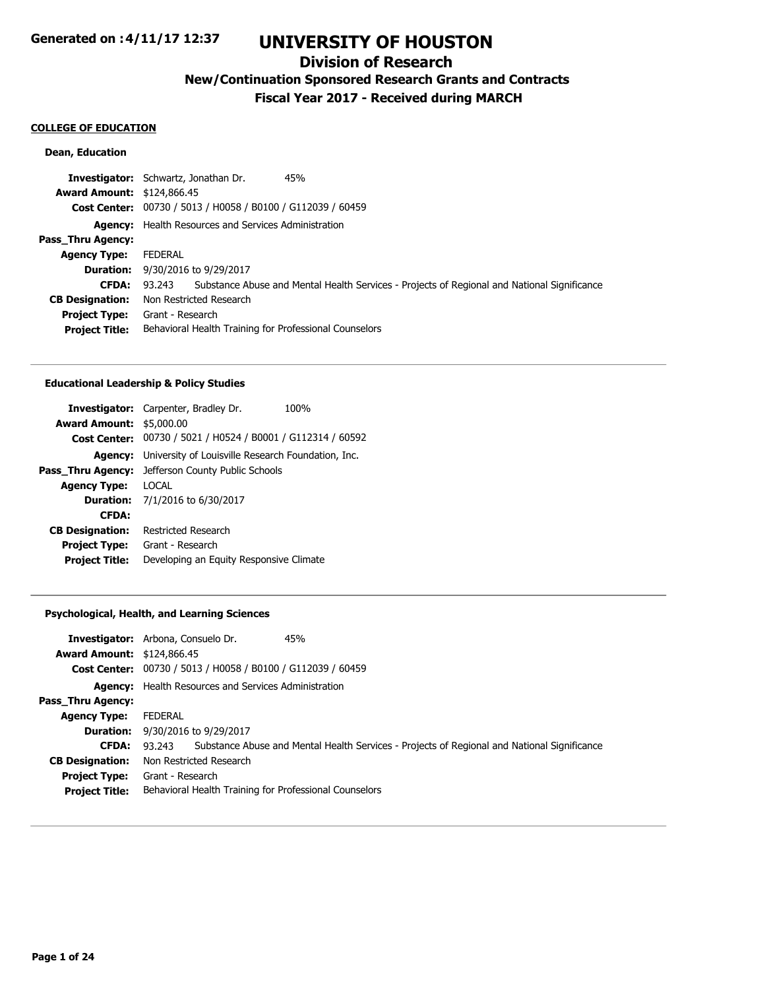## **Division of Research**

**New/Continuation Sponsored Research Grants and Contracts**

**Fiscal Year 2017 - Received during MARCH**

#### **COLLEGE OF EDUCATION**

## **Dean, Education**

|                                   | <b>Investigator:</b> Schwartz, Jonathan Dr.<br>45%                                                 |
|-----------------------------------|----------------------------------------------------------------------------------------------------|
| <b>Award Amount: \$124,866.45</b> |                                                                                                    |
|                                   | <b>Cost Center:</b> 00730 / 5013 / H0058 / B0100 / G112039 / 60459                                 |
|                                   | <b>Agency:</b> Health Resources and Services Administration                                        |
| Pass Thru Agency:                 |                                                                                                    |
| <b>Agency Type:</b>               | <b>FEDERAL</b>                                                                                     |
|                                   | <b>Duration:</b> 9/30/2016 to 9/29/2017                                                            |
| <b>CFDA:</b>                      | 93.243 Substance Abuse and Mental Health Services - Projects of Regional and National Significance |
| <b>CB Designation:</b>            | Non Restricted Research                                                                            |
| <b>Project Type:</b>              | Grant - Research                                                                                   |
| <b>Project Title:</b>             | Behavioral Health Training for Professional Counselors                                             |

#### **Educational Leadership & Policy Studies**

|                                 | <b>Investigator:</b> Carpenter, Bradley Dr.                 | 100% |
|---------------------------------|-------------------------------------------------------------|------|
| <b>Award Amount: \$5,000.00</b> |                                                             |      |
|                                 | Cost Center: 00730 / 5021 / H0524 / B0001 / G112314 / 60592 |      |
| Agency:                         | University of Louisville Research Foundation, Inc.          |      |
| Pass Thru Agency:               | Jefferson County Public Schools                             |      |
| <b>Agency Type:</b>             | LOCAL.                                                      |      |
|                                 | <b>Duration:</b> $7/1/2016$ to $6/30/2017$                  |      |
| <b>CFDA:</b>                    |                                                             |      |
| <b>CB Designation:</b>          | Restricted Research                                         |      |
| <b>Project Type:</b>            | Grant - Research                                            |      |
| <b>Project Title:</b>           | Developing an Equity Responsive Climate                     |      |
|                                 |                                                             |      |

## **Psychological, Health, and Learning Sciences**

| <b>Award Amount: \$124,866.45</b> | <b>Investigator:</b> Arbona, Consuelo Dr.<br>45%                                                   |
|-----------------------------------|----------------------------------------------------------------------------------------------------|
|                                   | Cost Center: 00730 / 5013 / H0058 / B0100 / G112039 / 60459                                        |
|                                   | <b>Agency:</b> Health Resources and Services Administration                                        |
| Pass_Thru Agency:                 |                                                                                                    |
| <b>Agency Type:</b>               | FEDERAL                                                                                            |
| <b>Duration:</b>                  | 9/30/2016 to 9/29/2017                                                                             |
| <b>CFDA:</b>                      | 93.243 Substance Abuse and Mental Health Services - Projects of Regional and National Significance |
| <b>CB Designation:</b>            | Non Restricted Research                                                                            |
| <b>Project Type:</b>              | Grant - Research                                                                                   |
| <b>Project Title:</b>             | Behavioral Health Training for Professional Counselors                                             |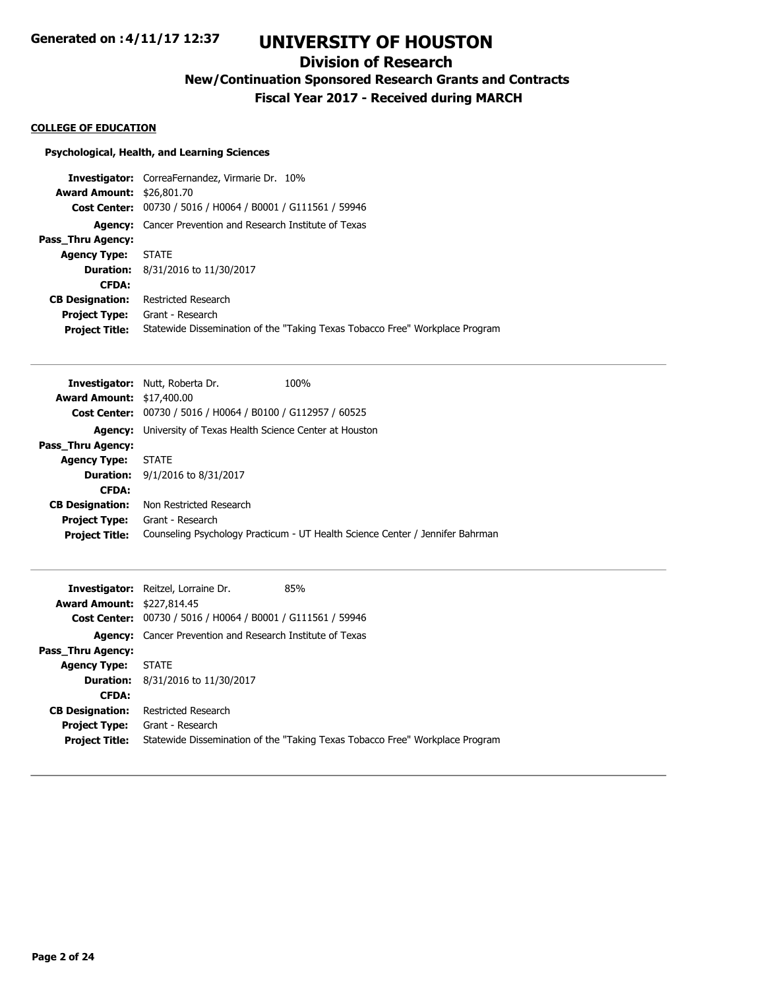## **Division of Research**

**New/Continuation Sponsored Research Grants and Contracts**

**Fiscal Year 2017 - Received during MARCH**

#### **COLLEGE OF EDUCATION**

## **Psychological, Health, and Learning Sciences**

|                                  | <b>Investigator:</b> CorreaFernandez, Virmarie Dr. 10%                       |
|----------------------------------|------------------------------------------------------------------------------|
| <b>Award Amount: \$26,801.70</b> |                                                                              |
|                                  | Cost Center: 00730 / 5016 / H0064 / B0001 / G111561 / 59946                  |
|                                  | <b>Agency:</b> Cancer Prevention and Research Institute of Texas             |
| <b>Pass Thru Agency:</b>         |                                                                              |
| <b>Agency Type:</b>              | STATE                                                                        |
|                                  | <b>Duration:</b> 8/31/2016 to 11/30/2017                                     |
| <b>CFDA:</b>                     |                                                                              |
| <b>CB Designation:</b>           | Restricted Research                                                          |
| <b>Project Type:</b>             | Grant - Research                                                             |
| <b>Project Title:</b>            | Statewide Dissemination of the "Taking Texas Tobacco Free" Workplace Program |
|                                  |                                                                              |

|                                  | <b>Investigator:</b> Nutt, Roberta Dr.                             | 100%                                                                          |
|----------------------------------|--------------------------------------------------------------------|-------------------------------------------------------------------------------|
| <b>Award Amount: \$17,400.00</b> |                                                                    |                                                                               |
|                                  | <b>Cost Center:</b> 00730 / 5016 / H0064 / B0100 / G112957 / 60525 |                                                                               |
| <b>Agency:</b>                   | University of Texas Health Science Center at Houston               |                                                                               |
| Pass Thru Agency:                |                                                                    |                                                                               |
| <b>Agency Type:</b>              | <b>STATE</b>                                                       |                                                                               |
|                                  | <b>Duration:</b> $9/1/2016$ to $8/31/2017$                         |                                                                               |
| <b>CFDA:</b>                     |                                                                    |                                                                               |
| <b>CB Designation:</b>           | Non Restricted Research                                            |                                                                               |
| <b>Project Type:</b>             | Grant - Research                                                   |                                                                               |
| <b>Project Title:</b>            |                                                                    | Counseling Psychology Practicum - UT Health Science Center / Jennifer Bahrman |

|                                   | <b>Investigator:</b> Reitzel, Lorraine Dr.                         | 85%                                                                          |
|-----------------------------------|--------------------------------------------------------------------|------------------------------------------------------------------------------|
| <b>Award Amount: \$227,814.45</b> |                                                                    |                                                                              |
|                                   | <b>Cost Center:</b> 00730 / 5016 / H0064 / B0001 / G111561 / 59946 |                                                                              |
|                                   | <b>Agency:</b> Cancer Prevention and Research Institute of Texas   |                                                                              |
| Pass_Thru Agency:                 |                                                                    |                                                                              |
| <b>Agency Type:</b>               | STATE                                                              |                                                                              |
|                                   | <b>Duration:</b> 8/31/2016 to 11/30/2017                           |                                                                              |
| <b>CFDA:</b>                      |                                                                    |                                                                              |
| <b>CB Designation:</b>            | Restricted Research                                                |                                                                              |
| <b>Project Type:</b>              | Grant - Research                                                   |                                                                              |
| <b>Project Title:</b>             |                                                                    | Statewide Dissemination of the "Taking Texas Tobacco Free" Workplace Program |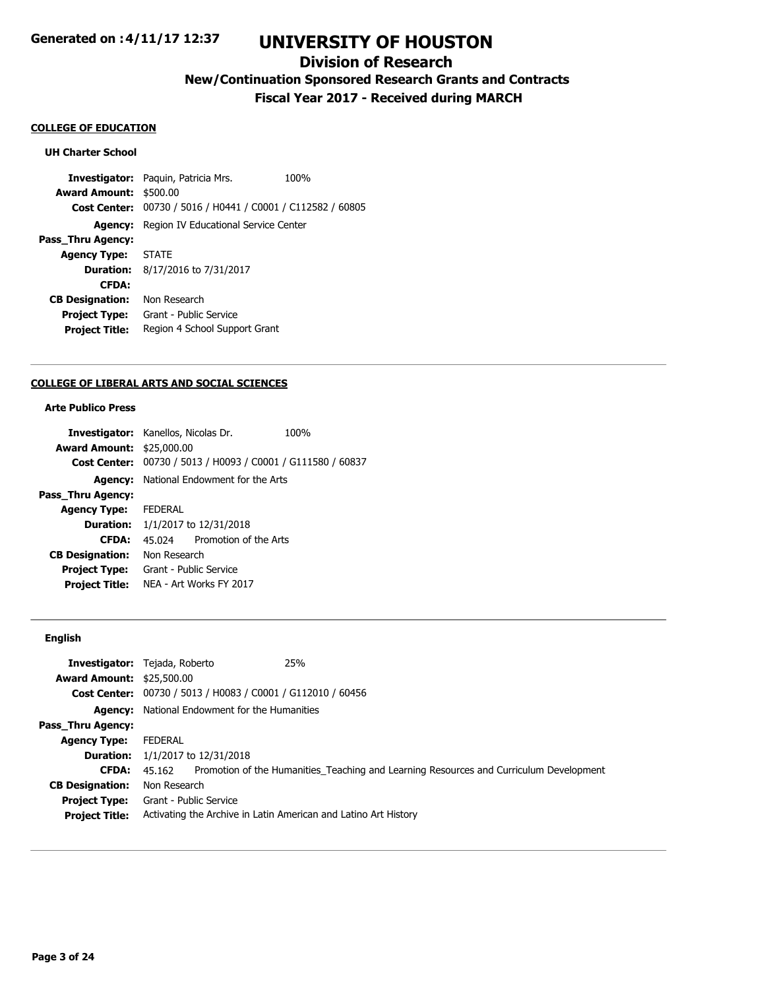## **Division of Research**

**New/Continuation Sponsored Research Grants and Contracts**

**Fiscal Year 2017 - Received during MARCH**

#### **COLLEGE OF EDUCATION**

### **UH Charter School**

**Investigator:** Paquin, Patricia Mrs. 100% **Award Amount:** \$500.00 **Cost Center:** 00730 / 5016 / H0441 / C0001 / C112582 / 60805 **Agency:** Region IV Educational Service Center **Pass\_Thru Agency: Agency Type:** STATE **Duration:** 8/17/2016 to 7/31/2017 **CFDA: CB Designation:** Non Research **Project Type:** Grant - Public Service **Project Title:** Region 4 School Support Grant

#### **COLLEGE OF LIBERAL ARTS AND SOCIAL SCIENCES**

## **Arte Publico Press**

|                                  | <b>Investigator:</b> Kanellos, Nicolas Dr.     | 100% |
|----------------------------------|------------------------------------------------|------|
| <b>Award Amount: \$25,000.00</b> |                                                |      |
| <b>Cost Center:</b>              | 00730 / 5013 / H0093 / C0001 / G111580 / 60837 |      |
| Agency:                          | National Endowment for the Arts                |      |
| Pass Thru Agency:                |                                                |      |
| <b>Agency Type:</b>              | <b>FEDERAL</b>                                 |      |
| Duration:                        | 1/1/2017 to 12/31/2018                         |      |
| <b>CFDA:</b>                     | Promotion of the Arts<br>45 024                |      |
| <b>CB Designation:</b>           | Non Research                                   |      |
| <b>Project Type:</b>             | Grant - Public Service                         |      |
| <b>Project Title:</b>            | NFA - Art Works FY 2017                        |      |
|                                  |                                                |      |

### **English**

|                                  | 25%<br><b>Investigator:</b> Tejada, Roberto                                                   |
|----------------------------------|-----------------------------------------------------------------------------------------------|
| <b>Award Amount: \$25,500.00</b> |                                                                                               |
|                                  | Cost Center: 00730 / 5013 / H0083 / C0001 / G112010 / 60456                                   |
|                                  | <b>Agency:</b> National Endowment for the Humanities                                          |
| Pass_Thru Agency:                |                                                                                               |
| <b>Agency Type:</b>              | <b>FEDERAL</b>                                                                                |
|                                  | <b>Duration:</b> $1/1/2017$ to $12/31/2018$                                                   |
| <b>CFDA:</b>                     | 45.162 Promotion of the Humanities_Teaching and Learning Resources and Curriculum Development |
| <b>CB Designation:</b>           | Non Research                                                                                  |
| <b>Project Type:</b>             | Grant - Public Service                                                                        |
| <b>Project Title:</b>            | Activating the Archive in Latin American and Latino Art History                               |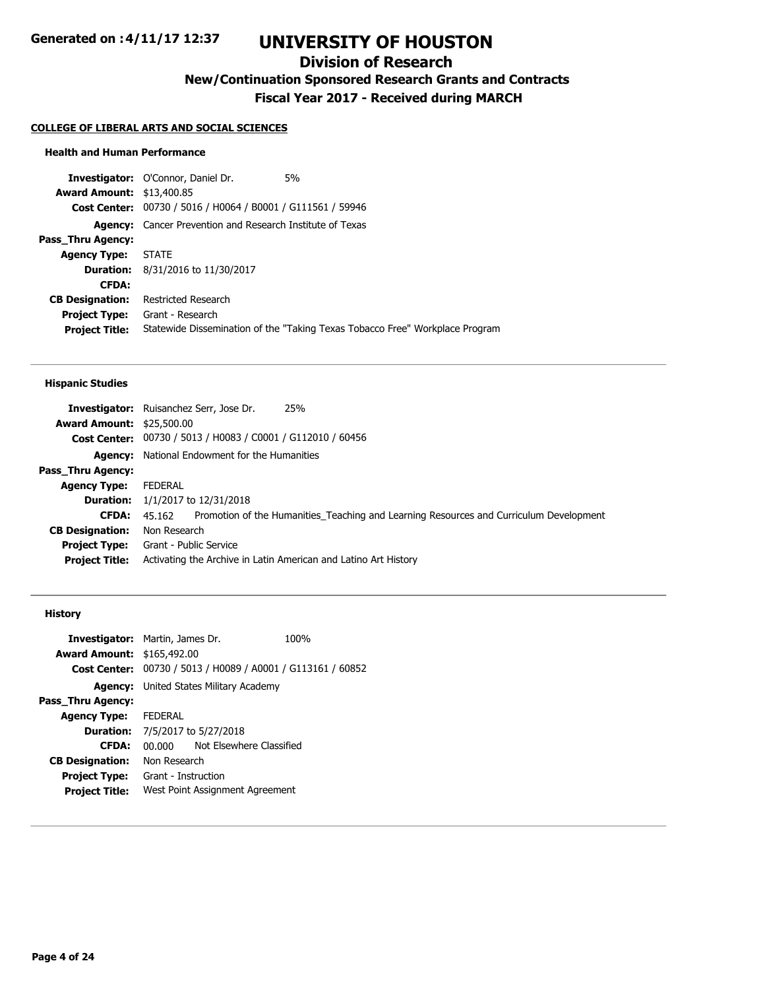## **Division of Research**

**New/Continuation Sponsored Research Grants and Contracts**

**Fiscal Year 2017 - Received during MARCH**

#### **COLLEGE OF LIBERAL ARTS AND SOCIAL SCIENCES**

### **Health and Human Performance**

**Investigator:** O'Connor, Daniel Dr. 5% **Award Amount:** \$13,400.85 **Cost Center:** 00730 / 5016 / H0064 / B0001 / G111561 / 59946 **Agency:** Cancer Prevention and Research Institute of Texas **Pass\_Thru Agency: Agency Type:** STATE **Duration:** 8/31/2016 to 11/30/2017 **CFDA: CB Designation:** Restricted Research **Project Type:** Grant - Research **Project Title:** Statewide Dissemination of the "Taking Texas Tobacco Free" Workplace Program

#### **Hispanic Studies**

|                                  | 25%<br><b>Investigator:</b> Ruisanchez Serr, Jose Dr.                                         |
|----------------------------------|-----------------------------------------------------------------------------------------------|
| <b>Award Amount: \$25,500.00</b> |                                                                                               |
|                                  | Cost Center: 00730 / 5013 / H0083 / C0001 / G112010 / 60456                                   |
|                                  | <b>Agency:</b> National Endowment for the Humanities                                          |
| Pass_Thru Agency:                |                                                                                               |
| <b>Agency Type:</b>              | FEDERAL                                                                                       |
|                                  | <b>Duration:</b> $1/1/2017$ to $12/31/2018$                                                   |
| <b>CFDA:</b>                     | 45.162 Promotion of the Humanities Teaching and Learning Resources and Curriculum Development |
| <b>CB Designation:</b>           | Non Research                                                                                  |
|                                  | <b>Project Type:</b> Grant - Public Service                                                   |
| <b>Project Title:</b>            | Activating the Archive in Latin American and Latino Art History                               |

#### **History**

| <b>Investigator:</b> Martin, James Dr. |                                               |                                                | 100% |
|----------------------------------------|-----------------------------------------------|------------------------------------------------|------|
| <b>Award Amount: \$165,492.00</b>      |                                               |                                                |      |
| Cost Center:                           |                                               | 00730 / 5013 / H0089 / A0001 / G113161 / 60852 |      |
|                                        | <b>Agency:</b> United States Military Academy |                                                |      |
| Pass Thru Agency:                      |                                               |                                                |      |
| <b>Agency Type:</b>                    | FEDERAL                                       |                                                |      |
|                                        | <b>Duration:</b> 7/5/2017 to 5/27/2018        |                                                |      |
| <b>CFDA:</b>                           | 00.000                                        | Not Elsewhere Classified                       |      |
| <b>CB Designation:</b>                 | Non Research                                  |                                                |      |
| <b>Project Type:</b>                   | Grant - Instruction                           |                                                |      |
| <b>Project Title:</b>                  | West Point Assignment Agreement               |                                                |      |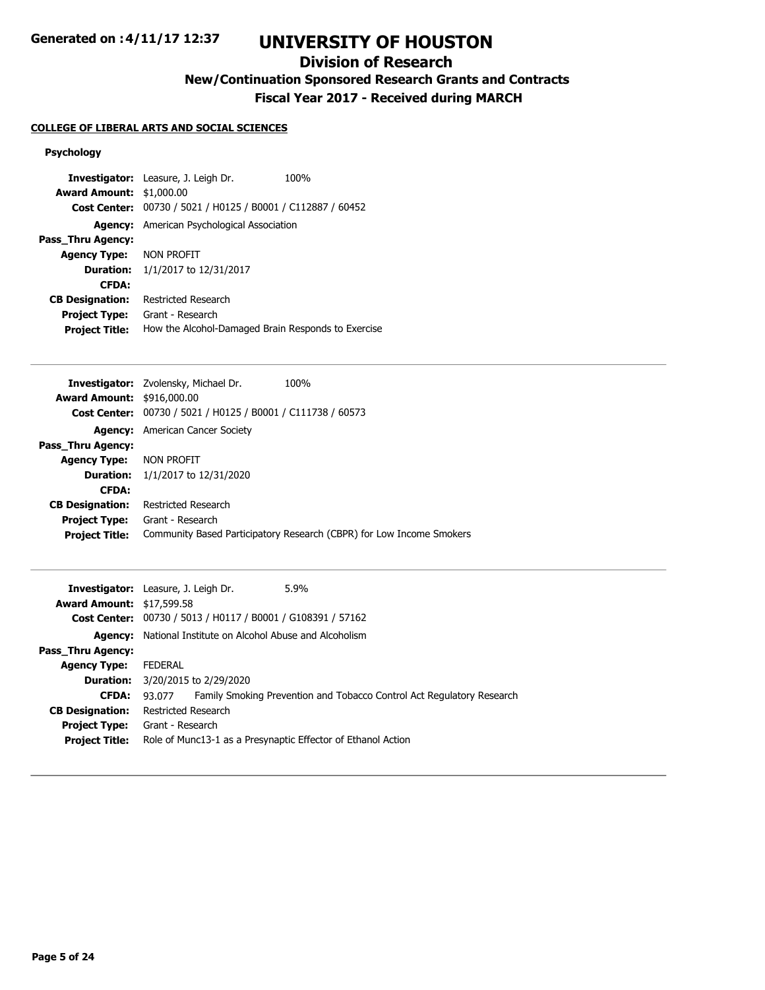# **UNIVERSITY OF HOUSTON**

## **Division of Research**

**New/Continuation Sponsored Research Grants and Contracts**

**Fiscal Year 2017 - Received during MARCH**

## **COLLEGE OF LIBERAL ARTS AND SOCIAL SCIENCES**

## **Psychology**

|                                 | Investigator: Leasure, J. Leigh Dr.                | 100% |
|---------------------------------|----------------------------------------------------|------|
| <b>Award Amount: \$1,000.00</b> |                                                    |      |
| <b>Cost Center:</b>             | 00730 / 5021 / H0125 / B0001 / C112887 / 60452     |      |
| Agency:                         | American Psychological Association                 |      |
| Pass Thru Agency:               |                                                    |      |
| <b>Agency Type:</b>             | NON PROFIT                                         |      |
| <b>Duration:</b>                | 1/1/2017 to 12/31/2017                             |      |
| <b>CFDA:</b>                    |                                                    |      |
| <b>CB Designation:</b>          | <b>Restricted Research</b>                         |      |
| <b>Project Type:</b>            | Grant - Research                                   |      |
| <b>Project Title:</b>           | How the Alcohol-Damaged Brain Responds to Exercise |      |

|                                   | <b>Investigator:</b> Zvolensky, Michael Dr.                        | 100%                                                                 |
|-----------------------------------|--------------------------------------------------------------------|----------------------------------------------------------------------|
| <b>Award Amount: \$916,000.00</b> |                                                                    |                                                                      |
|                                   | <b>Cost Center:</b> 00730 / 5021 / H0125 / B0001 / C111738 / 60573 |                                                                      |
|                                   | <b>Agency:</b> American Cancer Society                             |                                                                      |
| Pass Thru Agency:                 |                                                                    |                                                                      |
| <b>Agency Type: NON PROFIT</b>    |                                                                    |                                                                      |
|                                   | <b>Duration:</b> $1/1/2017$ to $12/31/2020$                        |                                                                      |
| <b>CFDA:</b>                      |                                                                    |                                                                      |
| <b>CB Designation:</b>            | Restricted Research                                                |                                                                      |
| <b>Project Type:</b>              | Grant - Research                                                   |                                                                      |
| <b>Project Title:</b>             |                                                                    | Community Based Participatory Research (CBPR) for Low Income Smokers |
|                                   |                                                                    |                                                                      |

|                                  | 5.9%<br><b>Investigator:</b> Leasure, J. Leigh Dr.                              |
|----------------------------------|---------------------------------------------------------------------------------|
| <b>Award Amount: \$17,599.58</b> |                                                                                 |
|                                  | Cost Center: 00730 / 5013 / H0117 / B0001 / G108391 / 57162                     |
|                                  | <b>Agency:</b> National Institute on Alcohol Abuse and Alcoholism               |
| <b>Pass Thru Agency:</b>         |                                                                                 |
| <b>Agency Type:</b>              | FEDERAL                                                                         |
|                                  | <b>Duration:</b> 3/20/2015 to 2/29/2020                                         |
| <b>CFDA:</b>                     | Family Smoking Prevention and Tobacco Control Act Regulatory Research<br>93.077 |
| <b>CB Designation:</b>           | Restricted Research                                                             |
| <b>Project Type:</b>             | Grant - Research                                                                |
| <b>Project Title:</b>            | Role of Munc13-1 as a Presynaptic Effector of Ethanol Action                    |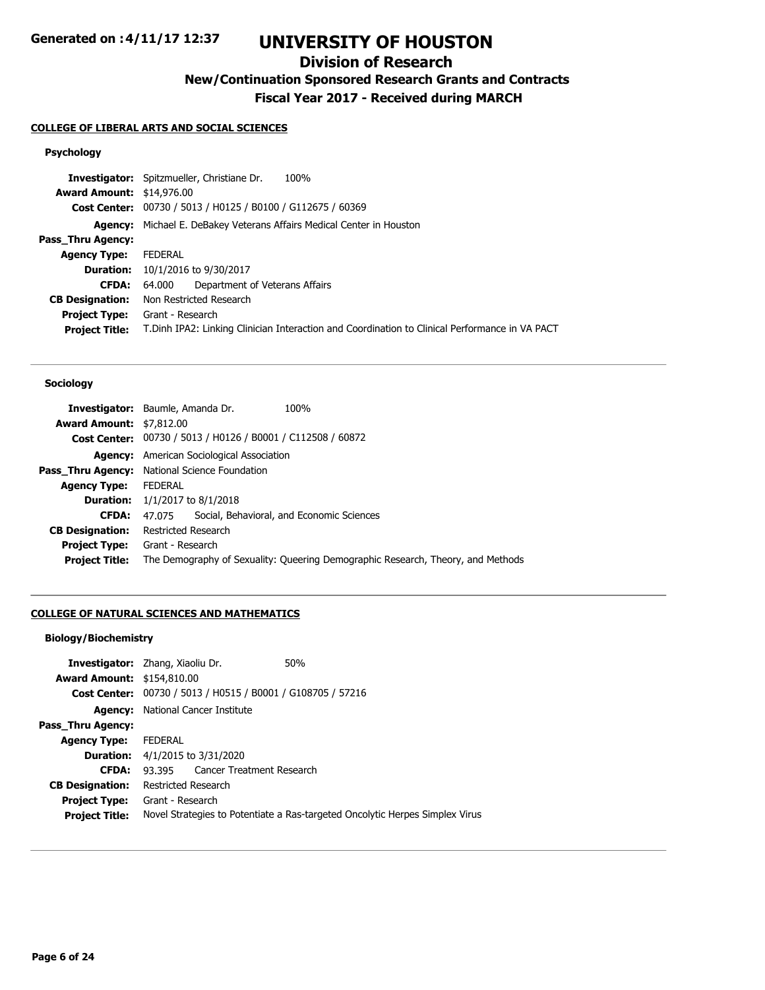# **UNIVERSITY OF HOUSTON**

## **Division of Research**

**New/Continuation Sponsored Research Grants and Contracts**

**Fiscal Year 2017 - Received during MARCH**

## **COLLEGE OF LIBERAL ARTS AND SOCIAL SCIENCES**

## **Psychology**

|                                  | 100%<br><b>Investigator:</b> Spitzmueller, Christiane Dr.                                      |
|----------------------------------|------------------------------------------------------------------------------------------------|
| <b>Award Amount: \$14,976.00</b> |                                                                                                |
|                                  | Cost Center: 00730 / 5013 / H0125 / B0100 / G112675 / 60369                                    |
| Agency:                          | Michael E. DeBakey Veterans Affairs Medical Center in Houston                                  |
| Pass_Thru Agency:                |                                                                                                |
| <b>Agency Type:</b>              | FEDERAL                                                                                        |
| <b>Duration:</b>                 | 10/1/2016 to 9/30/2017                                                                         |
| <b>CFDA:</b>                     | Department of Veterans Affairs<br>64.000                                                       |
| <b>CB Designation:</b>           | Non Restricted Research                                                                        |
| <b>Project Type:</b>             | Grant - Research                                                                               |
| <b>Project Title:</b>            | T.Dinh IPA2: Linking Clinician Interaction and Coordination to Clinical Performance in VA PACT |
|                                  |                                                                                                |

#### **Sociology**

| <b>Award Amount: \$7,812.00</b> | <b>Investigator:</b> Baumle, Amanda Dr.                                         | 100%                                      |  |
|---------------------------------|---------------------------------------------------------------------------------|-------------------------------------------|--|
|                                 | Cost Center: 00730 / 5013 / H0126 / B0001 / C112508 / 60872                     |                                           |  |
|                                 | <b>Agency:</b> American Sociological Association                                |                                           |  |
| Pass Thru Agency:               | National Science Foundation                                                     |                                           |  |
| <b>Agency Type:</b>             | <b>FEDERAL</b>                                                                  |                                           |  |
|                                 | <b>Duration:</b> $1/1/2017$ to $8/1/2018$                                       |                                           |  |
| <b>CFDA:</b>                    | 47.075                                                                          | Social, Behavioral, and Economic Sciences |  |
| <b>CB Designation:</b>          | <b>Restricted Research</b>                                                      |                                           |  |
| <b>Project Type:</b>            | Grant - Research                                                                |                                           |  |
| <b>Project Title:</b>           | The Demography of Sexuality: Queering Demographic Research, Theory, and Methods |                                           |  |

## **COLLEGE OF NATURAL SCIENCES AND MATHEMATICS**

## **Biology/Biochemistry**

| <b>Investigator:</b> Zhang, Xiaoliu Dr. |                                            |                                                             | 50%                                                                          |
|-----------------------------------------|--------------------------------------------|-------------------------------------------------------------|------------------------------------------------------------------------------|
| <b>Award Amount: \$154,810.00</b>       |                                            |                                                             |                                                                              |
|                                         |                                            | Cost Center: 00730 / 5013 / H0515 / B0001 / G108705 / 57216 |                                                                              |
|                                         |                                            | <b>Agency:</b> National Cancer Institute                    |                                                                              |
| Pass Thru Agency:                       |                                            |                                                             |                                                                              |
| <b>Agency Type:</b>                     | <b>FEDERAL</b>                             |                                                             |                                                                              |
|                                         | <b>Duration:</b> $4/1/2015$ to $3/31/2020$ |                                                             |                                                                              |
| <b>CFDA:</b>                            |                                            | 93.395 Cancer Treatment Research                            |                                                                              |
| <b>CB Designation:</b>                  | Restricted Research                        |                                                             |                                                                              |
| <b>Project Type:</b>                    | Grant - Research                           |                                                             |                                                                              |
| <b>Project Title:</b>                   |                                            |                                                             | Novel Strategies to Potentiate a Ras-targeted Oncolytic Herpes Simplex Virus |
|                                         |                                            |                                                             |                                                                              |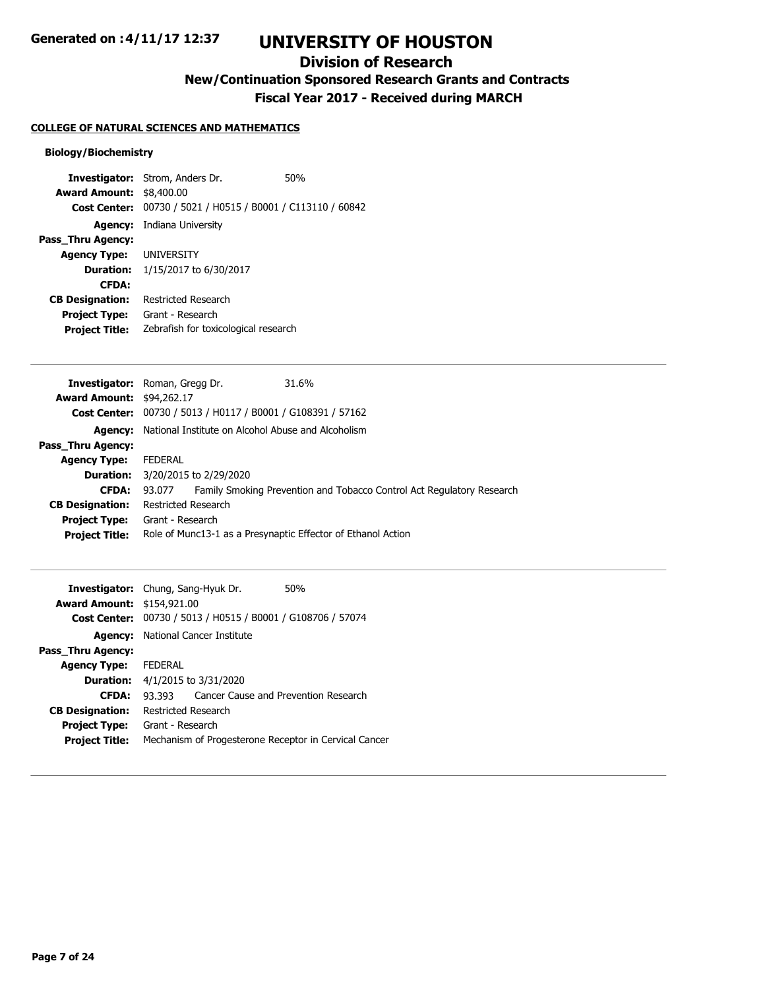## **Division of Research**

**New/Continuation Sponsored Research Grants and Contracts**

**Fiscal Year 2017 - Received during MARCH**

## **COLLEGE OF NATURAL SCIENCES AND MATHEMATICS**

## **Biology/Biochemistry**

| <b>Investigator:</b> Strom, Anders Dr.     | 50%                                                                                                 |
|--------------------------------------------|-----------------------------------------------------------------------------------------------------|
| <b>Award Amount:</b><br>\$8,400.00         |                                                                                                     |
|                                            |                                                                                                     |
| <b>Agency:</b> Indiana University          |                                                                                                     |
|                                            |                                                                                                     |
| <b>Agency Type: UNIVERSITY</b>             |                                                                                                     |
| <b>Duration:</b><br>1/15/2017 to 6/30/2017 |                                                                                                     |
|                                            |                                                                                                     |
| Restricted Research                        |                                                                                                     |
| Grant - Research                           |                                                                                                     |
|                                            |                                                                                                     |
|                                            | Cost Center: 00730 / 5021 / H0515 / B0001 / C113110 / 60842<br>Zebrafish for toxicological research |

| <b>Investigator:</b> Roman, Gregg Dr. |                                                                   |  | 31.6%                                                                 |
|---------------------------------------|-------------------------------------------------------------------|--|-----------------------------------------------------------------------|
| <b>Award Amount: \$94,262.17</b>      |                                                                   |  |                                                                       |
|                                       | Cost Center: 00730 / 5013 / H0117 / B0001 / G108391 / 57162       |  |                                                                       |
|                                       | <b>Agency:</b> National Institute on Alcohol Abuse and Alcoholism |  |                                                                       |
| <b>Pass Thru Agency:</b>              |                                                                   |  |                                                                       |
| <b>Agency Type:</b>                   | <b>FEDERAL</b>                                                    |  |                                                                       |
|                                       | <b>Duration:</b> 3/20/2015 to 2/29/2020                           |  |                                                                       |
| <b>CFDA:</b>                          | 93.077                                                            |  | Family Smoking Prevention and Tobacco Control Act Regulatory Research |
| <b>CB Designation:</b>                | Restricted Research                                               |  |                                                                       |
| <b>Project Type:</b>                  | Grant - Research                                                  |  |                                                                       |
| <b>Project Title:</b>                 | Role of Munc13-1 as a Presynaptic Effector of Ethanol Action      |  |                                                                       |
|                                       |                                                                   |  |                                                                       |

|                                   | <b>Investigator:</b> Chung, Sang-Hyuk Dr.<br>50%      |  |
|-----------------------------------|-------------------------------------------------------|--|
| <b>Award Amount: \$154,921.00</b> |                                                       |  |
| <b>Cost Center:</b>               | 00730 / 5013 / H0515 / B0001 / G108706 / 57074        |  |
| Agency:                           | National Cancer Institute                             |  |
| Pass Thru Agency:                 |                                                       |  |
| <b>Agency Type:</b>               | <b>FFDFRAI</b>                                        |  |
| <b>Duration:</b>                  | 4/1/2015 to 3/31/2020                                 |  |
| <b>CFDA:</b>                      | Cancer Cause and Prevention Research<br>93 393        |  |
| <b>CB Designation:</b>            | Restricted Research                                   |  |
| <b>Project Type:</b>              | Grant - Research                                      |  |
| <b>Project Title:</b>             | Mechanism of Progesterone Receptor in Cervical Cancer |  |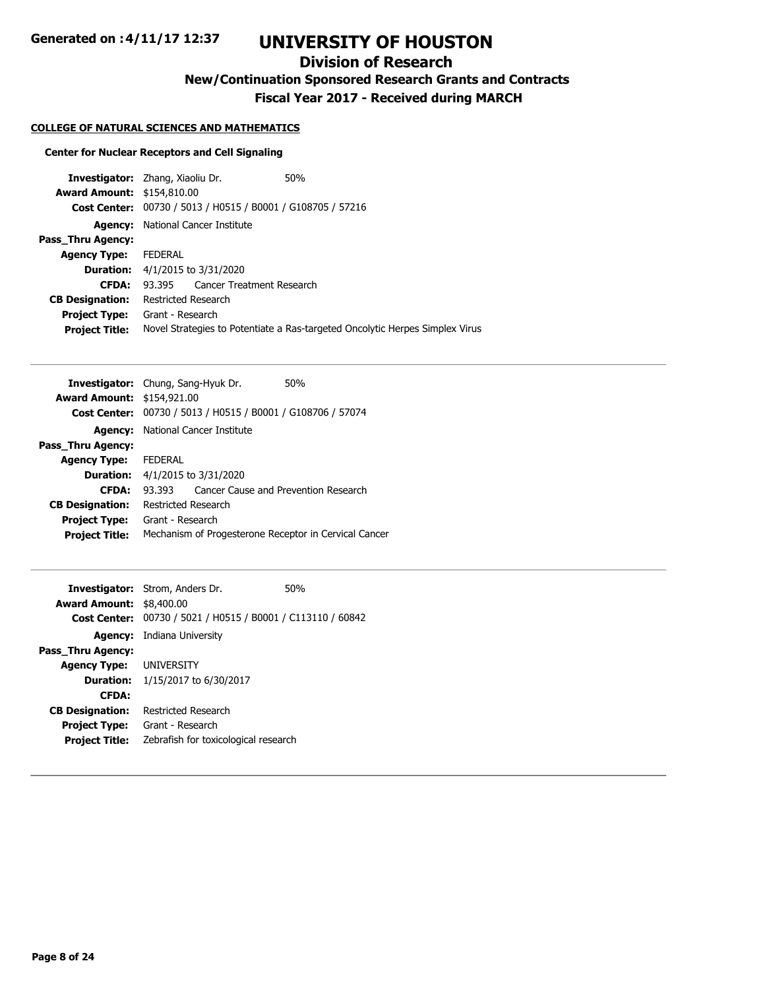## **Division of Research**

**New/Continuation Sponsored Research Grants and Contracts**

**Fiscal Year 2017 - Received during MARCH**

## **COLLEGE OF NATURAL SCIENCES AND MATHEMATICS**

## **Center for Nuclear Receptors and Cell Signaling**

| <b>Investigator:</b> Zhang, Xiaoliu Dr. |                                            |                                                | 50%                                                                          |
|-----------------------------------------|--------------------------------------------|------------------------------------------------|------------------------------------------------------------------------------|
| <b>Award Amount: \$154,810.00</b>       |                                            |                                                |                                                                              |
| <b>Cost Center:</b>                     |                                            | 00730 / 5013 / H0515 / B0001 / G108705 / 57216 |                                                                              |
| Agency:                                 | National Cancer Institute                  |                                                |                                                                              |
| Pass Thru Agency:                       |                                            |                                                |                                                                              |
| <b>Agency Type:</b>                     | <b>FEDERAL</b>                             |                                                |                                                                              |
|                                         | <b>Duration:</b> $4/1/2015$ to $3/31/2020$ |                                                |                                                                              |
| <b>CFDA:</b>                            |                                            | 93.395 Cancer Treatment Research               |                                                                              |
| <b>CB Designation:</b>                  | Restricted Research                        |                                                |                                                                              |
| <b>Project Type:</b>                    | Grant - Research                           |                                                |                                                                              |
| <b>Project Title:</b>                   |                                            |                                                | Novel Strategies to Potentiate a Ras-targeted Oncolytic Herpes Simplex Virus |
|                                         |                                            |                                                |                                                                              |

|                                   | <b>Investigator:</b> Chung, Sang-Hyuk Dr.<br>50%            |  |
|-----------------------------------|-------------------------------------------------------------|--|
| <b>Award Amount: \$154,921.00</b> |                                                             |  |
|                                   | Cost Center: 00730 / 5013 / H0515 / B0001 / G108706 / 57074 |  |
| Agency:                           | National Cancer Institute                                   |  |
| Pass Thru Agency:                 |                                                             |  |
| <b>Agency Type:</b>               | <b>FFDFRAI</b>                                              |  |
| <b>Duration:</b>                  | 4/1/2015 to 3/31/2020                                       |  |
| <b>CFDA:</b>                      | Cancer Cause and Prevention Research<br>93 393              |  |
| <b>CB Designation:</b>            | Restricted Research                                         |  |
| <b>Project Type:</b>              | Grant - Research                                            |  |
| <b>Project Title:</b>             | Mechanism of Progesterone Receptor in Cervical Cancer       |  |
|                                   |                                                             |  |

|                                 | <b>Investigator:</b> Strom, Anders Dr.                      | 50% |
|---------------------------------|-------------------------------------------------------------|-----|
| <b>Award Amount: \$8,400.00</b> |                                                             |     |
|                                 | Cost Center: 00730 / 5021 / H0515 / B0001 / C113110 / 60842 |     |
|                                 | <b>Agency:</b> Indiana University                           |     |
| Pass Thru Agency:               |                                                             |     |
| <b>Agency Type: UNIVERSITY</b>  |                                                             |     |
|                                 | <b>Duration:</b> 1/15/2017 to 6/30/2017                     |     |
| <b>CFDA:</b>                    |                                                             |     |
| <b>CB Designation:</b>          | <b>Restricted Research</b>                                  |     |
| <b>Project Type:</b>            | Grant - Research                                            |     |
| <b>Project Title:</b>           | Zebrafish for toxicological research                        |     |
|                                 |                                                             |     |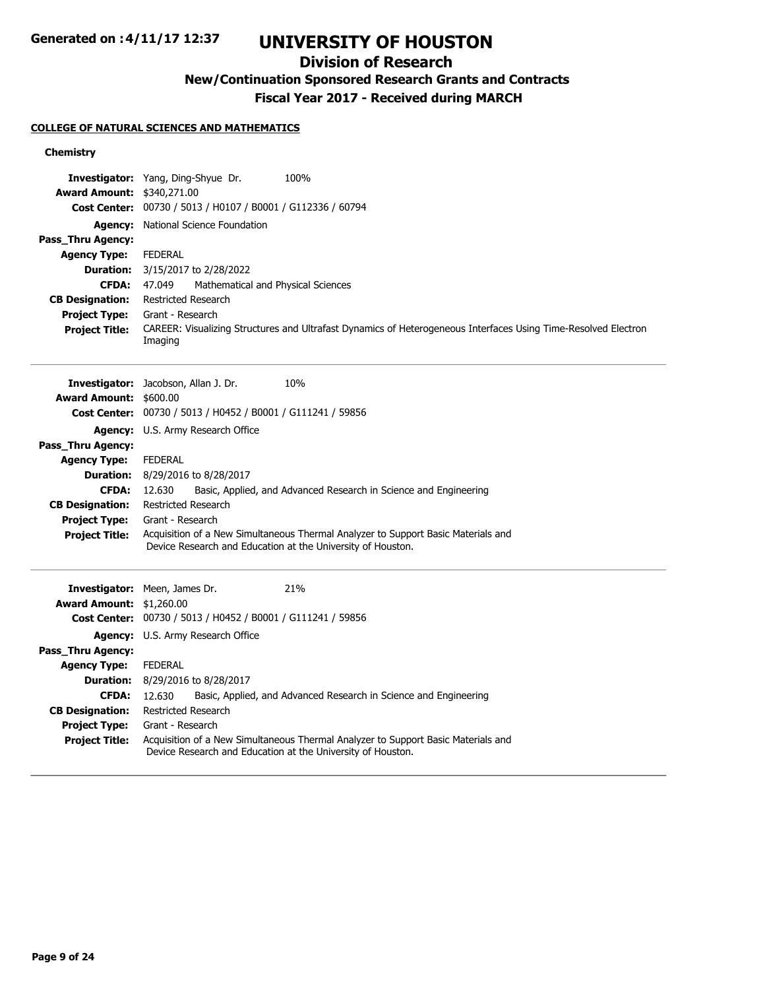# **UNIVERSITY OF HOUSTON**

## **Division of Research**

**New/Continuation Sponsored Research Grants and Contracts**

**Fiscal Year 2017 - Received during MARCH**

## **COLLEGE OF NATURAL SCIENCES AND MATHEMATICS**

### **Chemistry**

| <b>Award Amount:</b><br><b>Cost Center:</b><br><b>Agency:</b><br>Pass_Thru Agency:<br><b>Agency Type:</b><br><b>Duration:</b><br><b>CFDA:</b><br><b>CB Designation:</b> | Investigator: Yang, Ding-Shyue Dr.<br>100%<br>\$340,271.00<br>00730 / 5013 / H0107 / B0001 / G112336 / 60794<br>National Science Foundation<br><b>FEDERAL</b><br>3/15/2017 to 2/28/2022<br>47.049<br>Mathematical and Physical Sciences<br><b>Restricted Research</b> |
|-------------------------------------------------------------------------------------------------------------------------------------------------------------------------|-----------------------------------------------------------------------------------------------------------------------------------------------------------------------------------------------------------------------------------------------------------------------|
| <b>Project Type:</b><br><b>Project Title:</b>                                                                                                                           | Grant - Research<br>CAREER: Visualizing Structures and Ultrafast Dynamics of Heterogeneous Interfaces Using Time-Resolved Electron<br>Imaging                                                                                                                         |
|                                                                                                                                                                         | 10%<br>Investigator: Jacobson, Allan J. Dr.                                                                                                                                                                                                                           |
| <b>Award Amount:</b><br><b>Cost Center:</b>                                                                                                                             | \$600.00<br>00730 / 5013 / H0452 / B0001 / G111241 / 59856                                                                                                                                                                                                            |
|                                                                                                                                                                         | <b>Agency:</b> U.S. Army Research Office                                                                                                                                                                                                                              |
| Pass_Thru Agency:                                                                                                                                                       |                                                                                                                                                                                                                                                                       |
| <b>Agency Type:</b>                                                                                                                                                     | <b>FEDERAL</b>                                                                                                                                                                                                                                                        |
| <b>Duration:</b>                                                                                                                                                        | 8/29/2016 to 8/28/2017                                                                                                                                                                                                                                                |
| <b>CFDA:</b>                                                                                                                                                            | 12.630<br>Basic, Applied, and Advanced Research in Science and Engineering                                                                                                                                                                                            |
| <b>CB Designation:</b>                                                                                                                                                  | <b>Restricted Research</b>                                                                                                                                                                                                                                            |
| <b>Project Type:</b>                                                                                                                                                    | Grant - Research                                                                                                                                                                                                                                                      |
| <b>Project Title:</b>                                                                                                                                                   | Acquisition of a New Simultaneous Thermal Analyzer to Support Basic Materials and<br>Device Research and Education at the University of Houston.                                                                                                                      |
|                                                                                                                                                                         | Investigator: Meen, James Dr.<br>21%                                                                                                                                                                                                                                  |
| <b>Award Amount:</b>                                                                                                                                                    | \$1,260.00                                                                                                                                                                                                                                                            |
| <b>Cost Center:</b>                                                                                                                                                     | 00730 / 5013 / H0452 / B0001 / G111241 / 59856                                                                                                                                                                                                                        |
|                                                                                                                                                                         | <b>Agency:</b> U.S. Army Research Office                                                                                                                                                                                                                              |
| Pass_Thru Agency:                                                                                                                                                       |                                                                                                                                                                                                                                                                       |
| <b>Agency Type:</b>                                                                                                                                                     | <b>FEDERAL</b>                                                                                                                                                                                                                                                        |
| <b>Duration:</b>                                                                                                                                                        | 8/29/2016 to 8/28/2017                                                                                                                                                                                                                                                |
| <b>CFDA:</b><br><b>CB Designation:</b>                                                                                                                                  | 12.630<br>Basic, Applied, and Advanced Research in Science and Engineering<br><b>Restricted Research</b>                                                                                                                                                              |
| <b>Project Type:</b>                                                                                                                                                    | Grant - Research                                                                                                                                                                                                                                                      |
| <b>Project Title:</b>                                                                                                                                                   | Acquisition of a New Simultaneous Thermal Analyzer to Support Basic Materials and<br>Device Research and Education at the University of Houston.                                                                                                                      |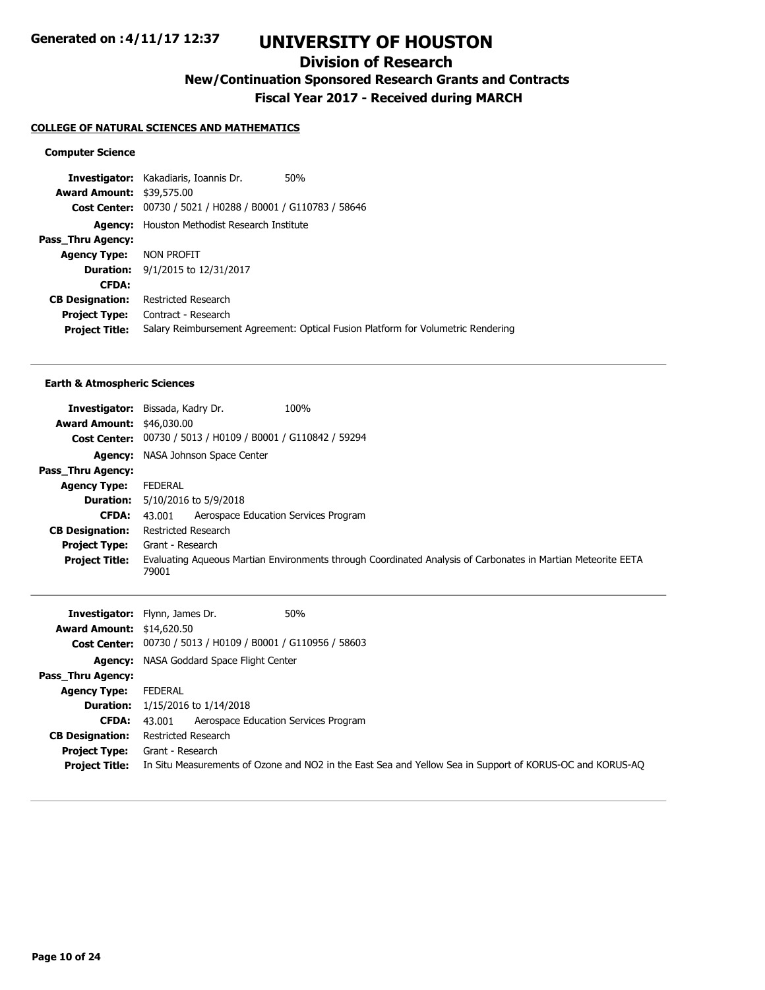## **Division of Research**

**New/Continuation Sponsored Research Grants and Contracts**

**Fiscal Year 2017 - Received during MARCH**

#### **COLLEGE OF NATURAL SCIENCES AND MATHEMATICS**

#### **Computer Science**

**Investigator:** Kakadiaris, Ioannis Dr. 50% **Award Amount:** \$39,575.00 **Cost Center:** 00730 / 5021 / H0288 / B0001 / G110783 / 58646 **Agency:** Houston Methodist Research Institute **Pass\_Thru Agency: Agency Type:** NON PROFIT **Duration:** 9/1/2015 to 12/31/2017 **CFDA: CB Designation:** Restricted Research **Project Type:** Contract - Research **Project Title:** Salary Reimbursement Agreement: Optical Fusion Platform for Volumetric Rendering

#### **Earth & Atmospheric Sciences**

| Investigator:                    | 100%<br>Bissada, Kadry Dr.                                  |                                                                                                              |
|----------------------------------|-------------------------------------------------------------|--------------------------------------------------------------------------------------------------------------|
| <b>Award Amount: \$46,030.00</b> |                                                             |                                                                                                              |
|                                  | Cost Center: 00730 / 5013 / H0109 / B0001 / G110842 / 59294 |                                                                                                              |
| Agency:                          | NASA Johnson Space Center                                   |                                                                                                              |
| Pass Thru Agency:                |                                                             |                                                                                                              |
| <b>Agency Type:</b>              | <b>FEDERAL</b>                                              |                                                                                                              |
|                                  | <b>Duration:</b> 5/10/2016 to 5/9/2018                      |                                                                                                              |
| CFDA:                            | Aerospace Education Services Program<br>43.001              |                                                                                                              |
| <b>CB Designation:</b>           | Restricted Research                                         |                                                                                                              |
| <b>Project Type:</b>             | Grant - Research                                            |                                                                                                              |
| <b>Project Title:</b>            | 79001                                                       | Evaluating Aqueous Martian Environments through Coordinated Analysis of Carbonates in Martian Meteorite EETA |

|                                  | 50%<br><b>Investigator:</b> Flynn, James Dr.                                                             |
|----------------------------------|----------------------------------------------------------------------------------------------------------|
| <b>Award Amount: \$14,620.50</b> |                                                                                                          |
|                                  | <b>Cost Center:</b> 00730 / 5013 / H0109 / B0001 / G110956 / 58603                                       |
|                                  | <b>Agency:</b> NASA Goddard Space Flight Center                                                          |
| Pass_Thru Agency:                |                                                                                                          |
| <b>Agency Type:</b>              | FEDERAL                                                                                                  |
|                                  | <b>Duration:</b> $1/15/2016$ to $1/14/2018$                                                              |
| <b>CFDA:</b>                     | Aerospace Education Services Program<br>43.001                                                           |
| <b>CB Designation:</b>           | Restricted Research                                                                                      |
| <b>Project Type:</b>             | Grant - Research                                                                                         |
| <b>Project Title:</b>            | In Situ Measurements of Ozone and NO2 in the East Sea and Yellow Sea in Support of KORUS-OC and KORUS-AO |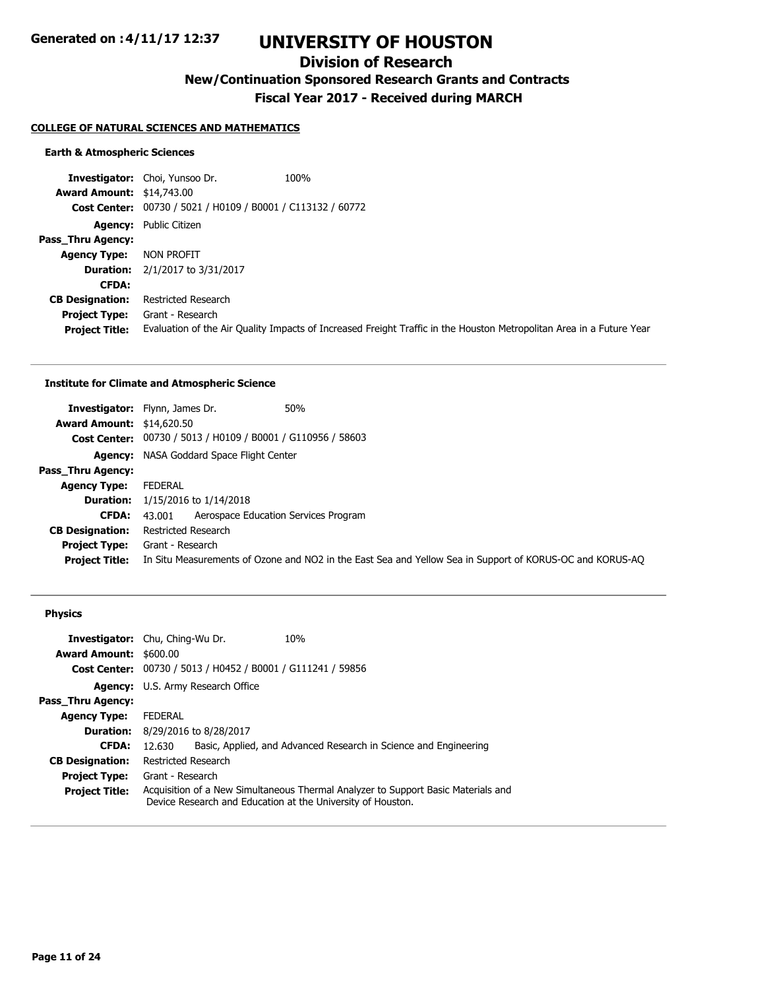## **Division of Research**

**New/Continuation Sponsored Research Grants and Contracts**

**Fiscal Year 2017 - Received during MARCH**

#### **COLLEGE OF NATURAL SCIENCES AND MATHEMATICS**

#### **Earth & Atmospheric Sciences**

**Investigator:** Choi, Yunsoo Dr. 100% **Award Amount:** \$14,743.00 **Cost Center:** 00730 / 5021 / H0109 / B0001 / C113132 / 60772 **Agency:** Public Citizen **Pass\_Thru Agency: Agency Type:** NON PROFIT **Duration:** 2/1/2017 to 3/31/2017 **CFDA: CB Designation:** Restricted Research **Project Type:** Grant - Research **Project Title:** Evaluation of the Air Quality Impacts of Increased Freight Traffic in the Houston Metropolitan Area in a Future Year

#### **Institute for Climate and Atmospheric Science**

|                                  | 50%<br><b>Investigator:</b> Flynn, James Dr.                                                             |
|----------------------------------|----------------------------------------------------------------------------------------------------------|
| <b>Award Amount: \$14,620.50</b> |                                                                                                          |
|                                  | Cost Center: 00730 / 5013 / H0109 / B0001 / G110956 / 58603                                              |
|                                  | <b>Agency:</b> NASA Goddard Space Flight Center                                                          |
| Pass Thru Agency:                |                                                                                                          |
| <b>Agency Type:</b>              | FEDERAL                                                                                                  |
|                                  | <b>Duration:</b> $1/15/2016$ to $1/14/2018$                                                              |
| CFDA:                            | Aerospace Education Services Program<br>43.001                                                           |
| <b>CB Designation:</b>           | Restricted Research                                                                                      |
| <b>Project Type:</b>             | Grant - Research                                                                                         |
| <b>Project Title:</b>            | In Situ Measurements of Ozone and NO2 in the East Sea and Yellow Sea in Support of KORUS-OC and KORUS-AO |

#### **Physics**

|                               | <b>Investigator:</b> Chu, Ching-Wu Dr.         | 10%                                                                                                                                              |
|-------------------------------|------------------------------------------------|--------------------------------------------------------------------------------------------------------------------------------------------------|
| <b>Award Amount: \$600.00</b> |                                                |                                                                                                                                                  |
| <b>Cost Center:</b>           | 00730 / 5013 / H0452 / B0001 / G111241 / 59856 |                                                                                                                                                  |
|                               | Agency: U.S. Army Research Office              |                                                                                                                                                  |
| Pass Thru Agency:             |                                                |                                                                                                                                                  |
| <b>Agency Type:</b>           | <b>FEDERAL</b>                                 |                                                                                                                                                  |
| <b>Duration:</b>              | 8/29/2016 to 8/28/2017                         |                                                                                                                                                  |
| <b>CFDA:</b>                  | 12.630                                         | Basic, Applied, and Advanced Research in Science and Engineering                                                                                 |
| <b>CB Designation:</b>        | Restricted Research                            |                                                                                                                                                  |
| <b>Project Type:</b>          | Grant - Research                               |                                                                                                                                                  |
| <b>Project Title:</b>         |                                                | Acquisition of a New Simultaneous Thermal Analyzer to Support Basic Materials and<br>Device Research and Education at the University of Houston. |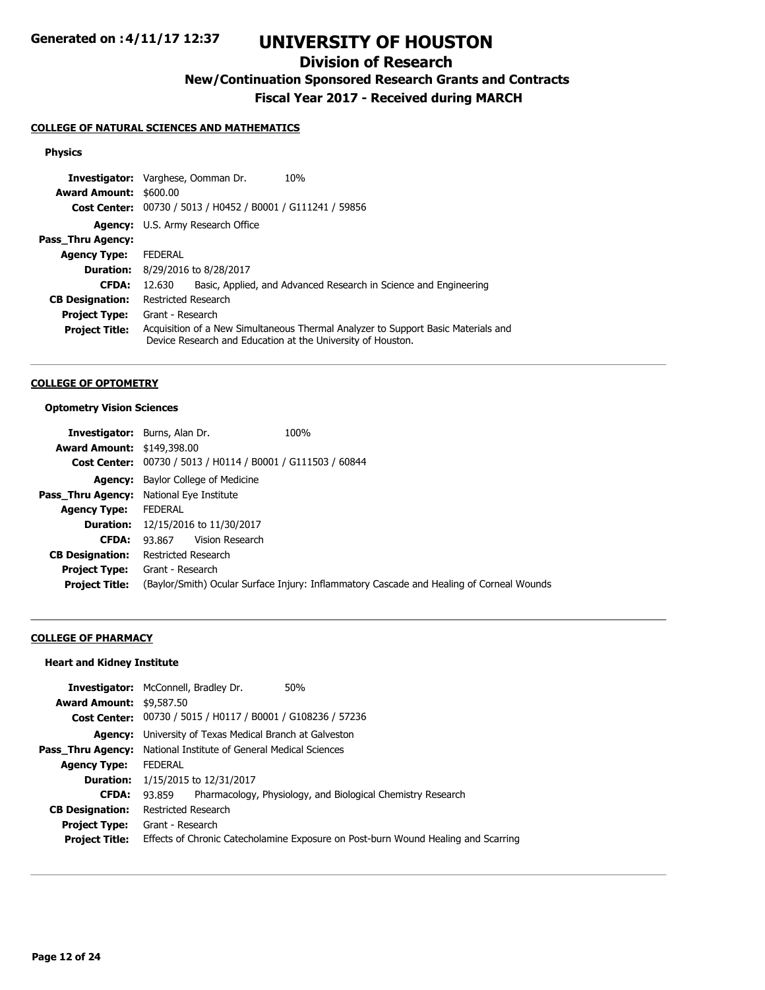# **UNIVERSITY OF HOUSTON**

## **Division of Research**

**New/Continuation Sponsored Research Grants and Contracts**

**Fiscal Year 2017 - Received during MARCH**

## **COLLEGE OF NATURAL SCIENCES AND MATHEMATICS**

### **Physics**

| <b>Investigator:</b> Varghese, Oomman Dr. |                                   | 10%                                                                                                                                              |
|-------------------------------------------|-----------------------------------|--------------------------------------------------------------------------------------------------------------------------------------------------|
| <b>Award Amount: \$600.00</b>             |                                   |                                                                                                                                                  |
|                                           |                                   | Cost Center: 00730 / 5013 / H0452 / B0001 / G111241 / 59856                                                                                      |
|                                           | Agency: U.S. Army Research Office |                                                                                                                                                  |
| Pass Thru Agency:                         |                                   |                                                                                                                                                  |
| <b>Agency Type:</b>                       | <b>FEDERAL</b>                    |                                                                                                                                                  |
| <b>Duration:</b>                          | 8/29/2016 to 8/28/2017            |                                                                                                                                                  |
| <b>CFDA:</b>                              | 12.630                            | Basic, Applied, and Advanced Research in Science and Engineering                                                                                 |
| <b>CB Designation:</b>                    | Restricted Research               |                                                                                                                                                  |
| <b>Project Type:</b>                      | Grant - Research                  |                                                                                                                                                  |
| <b>Project Title:</b>                     |                                   | Acquisition of a New Simultaneous Thermal Analyzer to Support Basic Materials and<br>Device Research and Education at the University of Houston. |

#### **COLLEGE OF OPTOMETRY**

### **Optometry Vision Sciences**

|                                   | <b>Investigator:</b> Burns, Alan Dr.                        | 100%                                                                                     |
|-----------------------------------|-------------------------------------------------------------|------------------------------------------------------------------------------------------|
| <b>Award Amount: \$149,398.00</b> |                                                             |                                                                                          |
|                                   | Cost Center: 00730 / 5013 / H0114 / B0001 / G111503 / 60844 |                                                                                          |
|                                   | <b>Agency:</b> Baylor College of Medicine                   |                                                                                          |
| Pass_Thru Agency:                 | National Eye Institute                                      |                                                                                          |
| <b>Agency Type:</b>               | <b>FEDERAL</b>                                              |                                                                                          |
|                                   | <b>Duration:</b> 12/15/2016 to 11/30/2017                   |                                                                                          |
| <b>CFDA:</b>                      | Vision Research<br>93.867                                   |                                                                                          |
| <b>CB Designation:</b>            | <b>Restricted Research</b>                                  |                                                                                          |
| <b>Project Type:</b>              | Grant - Research                                            |                                                                                          |
| <b>Project Title:</b>             |                                                             | (Baylor/Smith) Ocular Surface Injury: Inflammatory Cascade and Healing of Corneal Wounds |

## **COLLEGE OF PHARMACY**

### **Heart and Kidney Institute**

|                                 | <b>Investigator:</b> McConnell, Bradley Dr.<br>50%                                |  |
|---------------------------------|-----------------------------------------------------------------------------------|--|
| <b>Award Amount: \$9,587.50</b> |                                                                                   |  |
|                                 | Cost Center: 00730 / 5015 / H0117 / B0001 / G108236 / 57236                       |  |
|                                 | <b>Agency:</b> University of Texas Medical Branch at Galveston                    |  |
|                                 | <b>Pass Thru Agency:</b> National Institute of General Medical Sciences           |  |
| <b>Agency Type:</b>             | <b>FEDERAL</b>                                                                    |  |
|                                 | <b>Duration:</b> 1/15/2015 to 12/31/2017                                          |  |
| <b>CFDA:</b>                    | Pharmacology, Physiology, and Biological Chemistry Research<br>93.859             |  |
| <b>CB Designation:</b>          | Restricted Research                                                               |  |
| <b>Project Type:</b>            | Grant - Research                                                                  |  |
| <b>Project Title:</b>           | Effects of Chronic Catecholamine Exposure on Post-burn Wound Healing and Scarring |  |
|                                 |                                                                                   |  |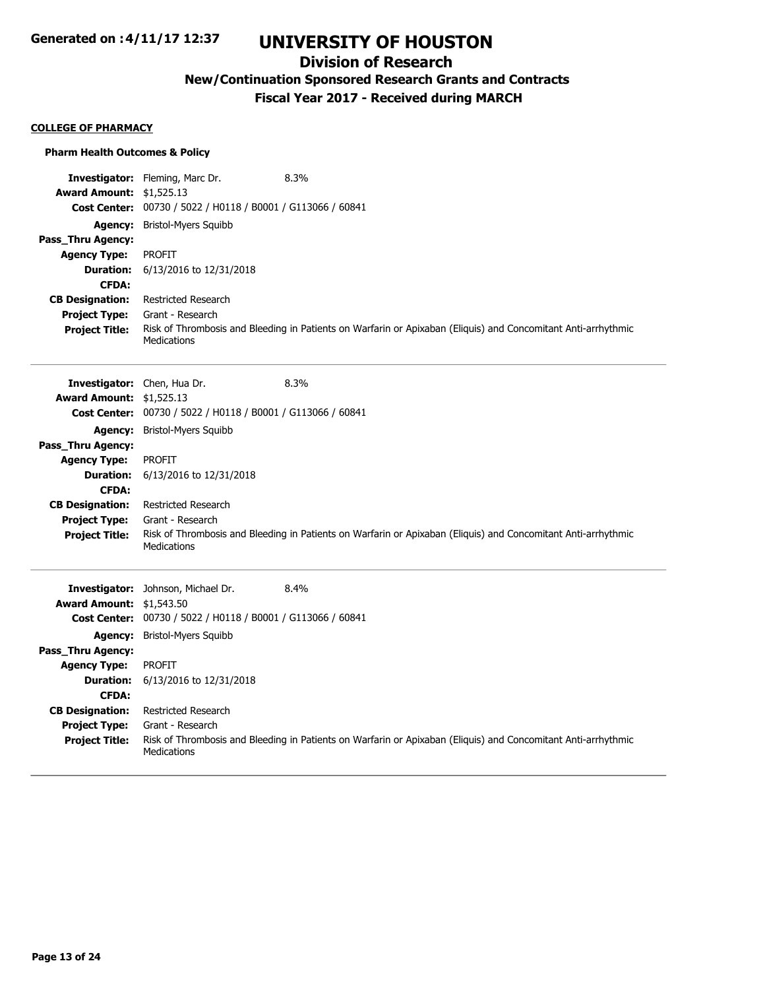## **Division of Research**

**New/Continuation Sponsored Research Grants and Contracts**

**Fiscal Year 2017 - Received during MARCH**

#### **COLLEGE OF PHARMACY**

#### **Pharm Health Outcomes & Policy**

|                                 | Investigator: Fleming, Marc Dr.<br>8.3%                                                                                      |  |
|---------------------------------|------------------------------------------------------------------------------------------------------------------------------|--|
| <b>Award Amount: \$1,525.13</b> |                                                                                                                              |  |
|                                 | Cost Center: 00730 / 5022 / H0118 / B0001 / G113066 / 60841                                                                  |  |
| <b>Agency:</b>                  | <b>Bristol-Myers Squibb</b>                                                                                                  |  |
| Pass_Thru Agency:               |                                                                                                                              |  |
| <b>Agency Type:</b>             | <b>PROFIT</b>                                                                                                                |  |
| <b>Duration:</b>                | 6/13/2016 to 12/31/2018                                                                                                      |  |
| <b>CFDA:</b>                    |                                                                                                                              |  |
| <b>CB Designation:</b>          | <b>Restricted Research</b>                                                                                                   |  |
| <b>Project Type:</b>            | Grant - Research                                                                                                             |  |
| <b>Project Title:</b>           | Risk of Thrombosis and Bleeding in Patients on Warfarin or Apixaban (Eliquis) and Concomitant Anti-arrhythmic<br>Medications |  |
|                                 | 8.3%<br>Investigator: Chen, Hua Dr.                                                                                          |  |
| <b>Award Amount: \$1,525.13</b> |                                                                                                                              |  |
|                                 | Cost Center: 00730 / 5022 / H0118 / B0001 / G113066 / 60841                                                                  |  |
| <b>Agency:</b>                  | <b>Bristol-Myers Squibb</b>                                                                                                  |  |
| Pass_Thru Agency:               |                                                                                                                              |  |
| <b>Agency Type:</b>             | <b>PROFIT</b>                                                                                                                |  |
| <b>Duration:</b>                | 6/13/2016 to 12/31/2018                                                                                                      |  |
| <b>CFDA:</b>                    |                                                                                                                              |  |
| <b>CB Designation:</b>          | <b>Restricted Research</b>                                                                                                   |  |
| <b>Project Type:</b>            | Grant - Research                                                                                                             |  |
| <b>Project Title:</b>           | Risk of Thrombosis and Bleeding in Patients on Warfarin or Apixaban (Eliquis) and Concomitant Anti-arrhythmic<br>Medications |  |
|                                 | Investigator: Johnson, Michael Dr.<br>8.4%                                                                                   |  |
| <b>Award Amount:</b>            | \$1,543.50                                                                                                                   |  |
| <b>Cost Center:</b>             | 00730 / 5022 / H0118 / B0001 / G113066 / 60841                                                                               |  |
| <b>Agency:</b>                  | <b>Bristol-Myers Squibb</b>                                                                                                  |  |
| Pass_Thru Agency:               |                                                                                                                              |  |
| <b>Agency Type:</b>             | <b>PROFIT</b>                                                                                                                |  |
| <b>Duration:</b>                | 6/13/2016 to 12/31/2018                                                                                                      |  |
| <b>CFDA:</b>                    |                                                                                                                              |  |
| <b>CB Designation:</b>          | <b>Restricted Research</b>                                                                                                   |  |
| <b>Project Type:</b>            | Grant - Research                                                                                                             |  |
| <b>Project Title:</b>           | Risk of Thrombosis and Bleeding in Patients on Warfarin or Apixaban (Eliquis) and Concomitant Anti-arrhythmic<br>Medications |  |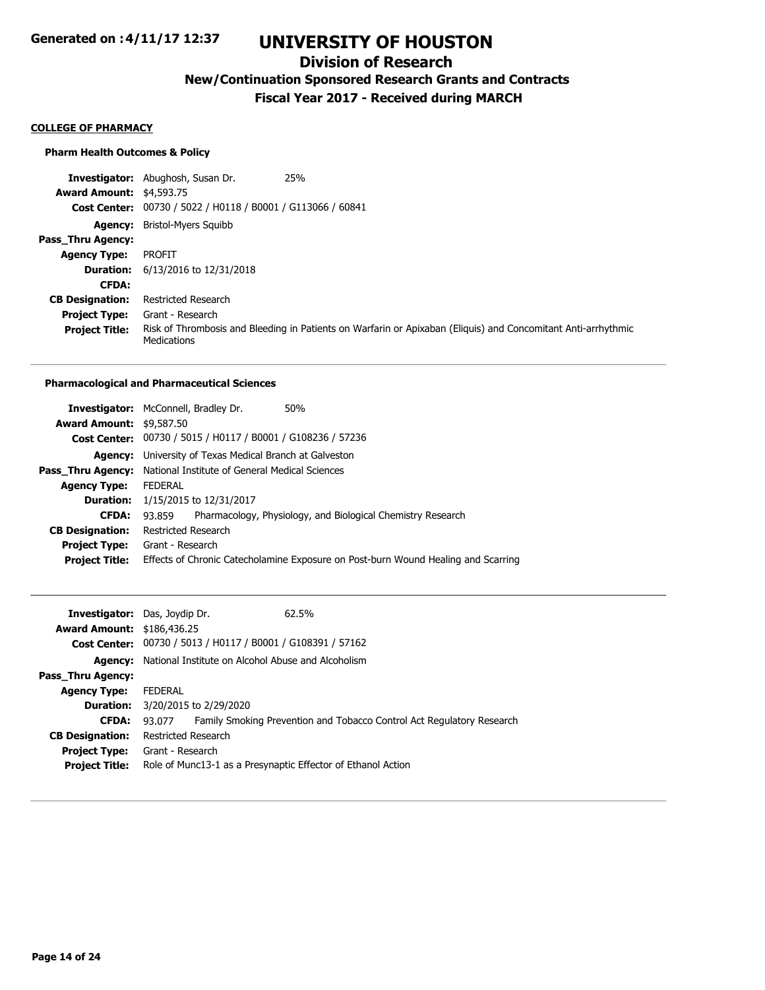## **Division of Research**

**New/Continuation Sponsored Research Grants and Contracts**

**Fiscal Year 2017 - Received during MARCH**

#### **COLLEGE OF PHARMACY**

#### **Pharm Health Outcomes & Policy**

**Investigator:** Abughosh, Susan Dr. 25% **Award Amount:** \$4,593.75 **Cost Center:** 00730 / 5022 / H0118 / B0001 / G113066 / 60841 **Agency:** Bristol-Myers Squibb **Pass\_Thru Agency: Agency Type:** PROFIT **Duration:** 6/13/2016 to 12/31/2018 **CFDA: CB Designation:** Restricted Research **Project Type:** Grant - Research **Project Title:** Risk of Thrombosis and Bleeding in Patients on Warfarin or Apixaban (Eliquis) and Concomitant Anti-arrhythmic Medications

#### **Pharmacological and Pharmaceutical Sciences**

|                                 | <b>Investigator:</b> McConnell, Bradley Dr.                             | 50%                                                                               |
|---------------------------------|-------------------------------------------------------------------------|-----------------------------------------------------------------------------------|
| <b>Award Amount: \$9,587.50</b> |                                                                         |                                                                                   |
|                                 | Cost Center: 00730 / 5015 / H0117 / B0001 / G108236 / 57236             |                                                                                   |
|                                 | <b>Agency:</b> University of Texas Medical Branch at Galveston          |                                                                                   |
|                                 | <b>Pass Thru Agency:</b> National Institute of General Medical Sciences |                                                                                   |
| <b>Agency Type:</b>             | <b>FEDERAL</b>                                                          |                                                                                   |
| <b>Duration:</b>                | 1/15/2015 to 12/31/2017                                                 |                                                                                   |
| <b>CFDA:</b>                    | 93.859                                                                  | Pharmacology, Physiology, and Biological Chemistry Research                       |
| <b>CB Designation:</b>          | Restricted Research                                                     |                                                                                   |
|                                 | <b>Project Type:</b> Grant - Research                                   |                                                                                   |
| <b>Project Title:</b>           |                                                                         | Effects of Chronic Catecholamine Exposure on Post-burn Wound Healing and Scarring |

| <b>Award Amount: \$186,436.25</b>             | <b>Investigator:</b> Das, Joydip Dr.<br>62.5%<br>Cost Center: 00730 / 5013 / H0117 / B0001 / G108391 / 57162 |
|-----------------------------------------------|--------------------------------------------------------------------------------------------------------------|
| Agency:                                       | National Institute on Alcohol Abuse and Alcoholism                                                           |
| <b>Pass Thru Agency:</b>                      |                                                                                                              |
| <b>Agency Type:</b>                           | <b>FEDERAL</b>                                                                                               |
|                                               | <b>Duration:</b> 3/20/2015 to 2/29/2020                                                                      |
| <b>CFDA:</b>                                  | Family Smoking Prevention and Tobacco Control Act Regulatory Research<br>93.077                              |
| <b>CB Designation:</b>                        | Restricted Research                                                                                          |
| <b>Project Type:</b><br><b>Project Title:</b> | Grant - Research<br>Role of Munc13-1 as a Presynaptic Effector of Ethanol Action                             |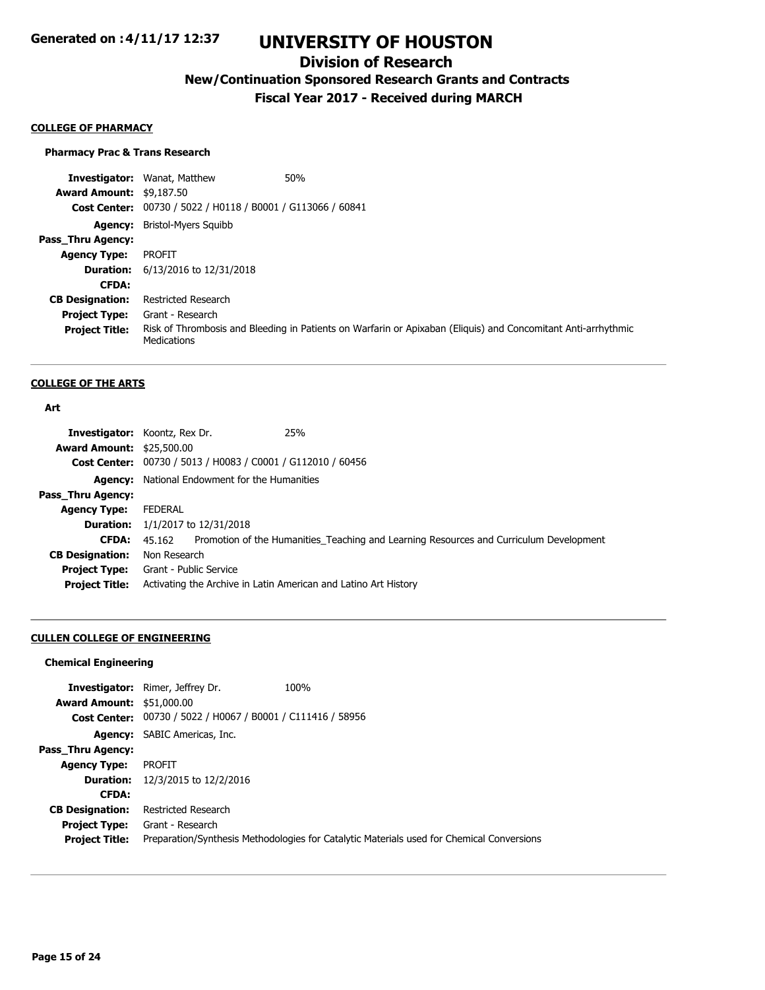## **Division of Research**

**New/Continuation Sponsored Research Grants and Contracts**

**Fiscal Year 2017 - Received during MARCH**

#### **COLLEGE OF PHARMACY**

#### **Pharmacy Prac & Trans Research**

**Investigator:** Wanat, Matthew **1988 Award Amount:** \$9,187.50 **Cost Center:** 00730 / 5022 / H0118 / B0001 / G113066 / 60841 **Agency:** Bristol-Myers Squibb **Pass\_Thru Agency: Agency Type:** PROFIT **Duration:** 6/13/2016 to 12/31/2018 **CFDA: CB Designation:** Restricted Research **Project Type:** Grant - Research **Project Title:** Risk of Thrombosis and Bleeding in Patients on Warfarin or Apixaban (Eliquis) and Concomitant Anti-arrhythmic **Medications** 

#### **COLLEGE OF THE ARTS**

#### **Art**

|                                  | 25%<br><b>Investigator:</b> Koontz, Rex Dr.                                                   |
|----------------------------------|-----------------------------------------------------------------------------------------------|
| <b>Award Amount: \$25,500.00</b> |                                                                                               |
|                                  | Cost Center: 00730 / 5013 / H0083 / C0001 / G112010 / 60456                                   |
|                                  | <b>Agency:</b> National Endowment for the Humanities                                          |
| Pass_Thru Agency:                |                                                                                               |
| <b>Agency Type:</b>              | FEDERAL                                                                                       |
|                                  | <b>Duration:</b> $1/1/2017$ to $12/31/2018$                                                   |
| <b>CFDA:</b>                     | 45.162 Promotion of the Humanities Teaching and Learning Resources and Curriculum Development |
| <b>CB Designation:</b>           | Non Research                                                                                  |
|                                  | <b>Project Type:</b> Grant - Public Service                                                   |
| <b>Project Title:</b>            | Activating the Archive in Latin American and Latino Art History                               |

### **CULLEN COLLEGE OF ENGINEERING**

#### **Chemical Engineering**

|                                  | <b>Investigator:</b> Rimer, Jeffrey Dr.                     | 100%                                                                                      |
|----------------------------------|-------------------------------------------------------------|-------------------------------------------------------------------------------------------|
| <b>Award Amount: \$51,000.00</b> |                                                             |                                                                                           |
|                                  | Cost Center: 00730 / 5022 / H0067 / B0001 / C111416 / 58956 |                                                                                           |
|                                  | <b>Agency:</b> SABIC Americas, Inc.                         |                                                                                           |
| Pass Thru Agency:                |                                                             |                                                                                           |
| <b>Agency Type:</b>              | <b>PROFIT</b>                                               |                                                                                           |
|                                  | <b>Duration:</b> 12/3/2015 to 12/2/2016                     |                                                                                           |
| <b>CFDA:</b>                     |                                                             |                                                                                           |
| <b>CB Designation:</b>           | Restricted Research                                         |                                                                                           |
| <b>Project Type:</b>             | Grant - Research                                            |                                                                                           |
| <b>Project Title:</b>            |                                                             | Preparation/Synthesis Methodologies for Catalytic Materials used for Chemical Conversions |
|                                  |                                                             |                                                                                           |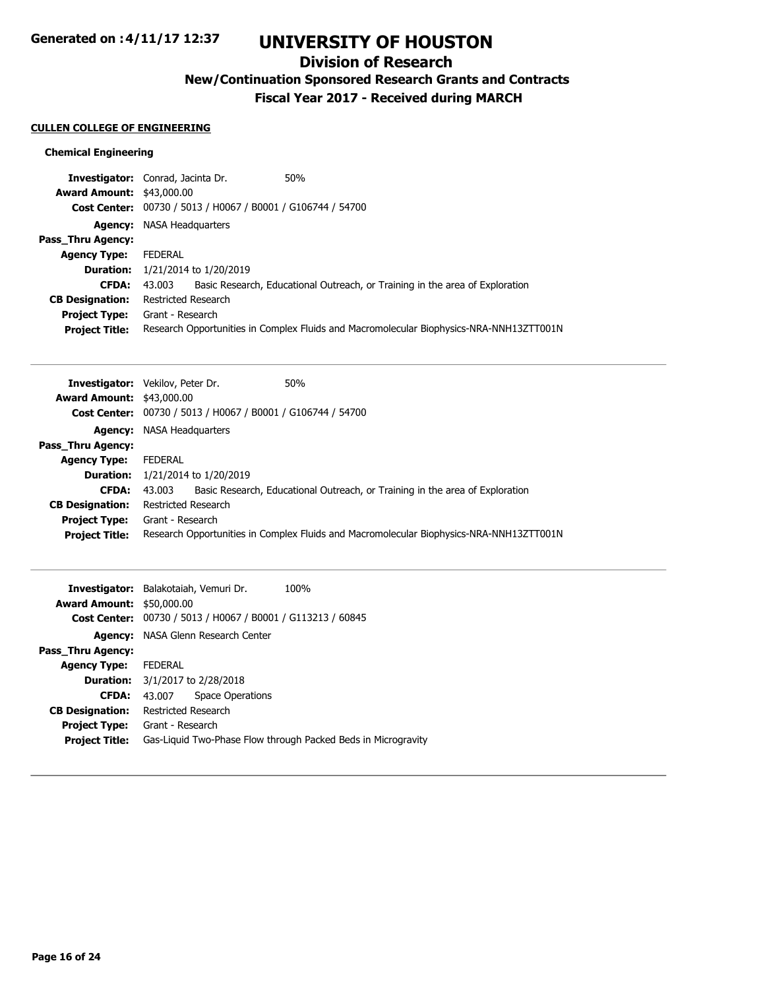## **Division of Research**

**New/Continuation Sponsored Research Grants and Contracts**

**Fiscal Year 2017 - Received during MARCH**

## **CULLEN COLLEGE OF ENGINEERING**

## **Chemical Engineering**

| <b>Investigator:</b> Conrad, Jacinta Dr. | 50%                                                                                     |
|------------------------------------------|-----------------------------------------------------------------------------------------|
| <b>Award Amount: \$43,000.00</b>         |                                                                                         |
|                                          | Cost Center: 00730 / 5013 / H0067 / B0001 / G106744 / 54700                             |
| <b>Agency:</b> NASA Headquarters         |                                                                                         |
|                                          |                                                                                         |
| FEDERAL                                  |                                                                                         |
| 1/21/2014 to 1/20/2019                   |                                                                                         |
| 43.003                                   | Basic Research, Educational Outreach, or Training in the area of Exploration            |
| Restricted Research                      |                                                                                         |
| Grant - Research                         |                                                                                         |
|                                          | Research Opportunities in Complex Fluids and Macromolecular Biophysics-NRA-NNH13ZTT001N |
|                                          |                                                                                         |

|                                  | <b>Investigator:</b> Vekilov, Peter Dr.<br>50%                     |                                                                                         |
|----------------------------------|--------------------------------------------------------------------|-----------------------------------------------------------------------------------------|
| <b>Award Amount: \$43,000.00</b> |                                                                    |                                                                                         |
|                                  | <b>Cost Center:</b> 00730 / 5013 / H0067 / B0001 / G106744 / 54700 |                                                                                         |
| Agency:                          | NASA Headquarters                                                  |                                                                                         |
| Pass Thru Agency:                |                                                                    |                                                                                         |
| <b>Agency Type:</b>              | <b>FEDERAL</b>                                                     |                                                                                         |
|                                  | <b>Duration:</b> $1/21/2014$ to $1/20/2019$                        |                                                                                         |
| <b>CFDA:</b>                     | 43.003                                                             | Basic Research, Educational Outreach, or Training in the area of Exploration            |
| <b>CB Designation:</b>           | Restricted Research                                                |                                                                                         |
| <b>Project Type:</b>             | Grant - Research                                                   |                                                                                         |
| <b>Project Title:</b>            |                                                                    | Research Opportunities in Complex Fluids and Macromolecular Biophysics-NRA-NNH13ZTT001N |

|                                  | <b>Investigator:</b> Balakotaiah, Vemuri Dr.   | 100%                                                          |
|----------------------------------|------------------------------------------------|---------------------------------------------------------------|
| <b>Award Amount: \$50,000.00</b> |                                                |                                                               |
| <b>Cost Center:</b>              | 00730 / 5013 / H0067 / B0001 / G113213 / 60845 |                                                               |
| Agency:                          | NASA Glenn Research Center                     |                                                               |
| Pass Thru Agency:                |                                                |                                                               |
| <b>Agency Type:</b>              | <b>FEDERAL</b>                                 |                                                               |
|                                  | <b>Duration:</b> 3/1/2017 to 2/28/2018         |                                                               |
| <b>CFDA:</b>                     | <b>Space Operations</b><br>43.007              |                                                               |
| <b>CB Designation:</b>           | <b>Restricted Research</b>                     |                                                               |
| <b>Project Type:</b>             | Grant - Research                               |                                                               |
| <b>Project Title:</b>            |                                                | Gas-Liquid Two-Phase Flow through Packed Beds in Microgravity |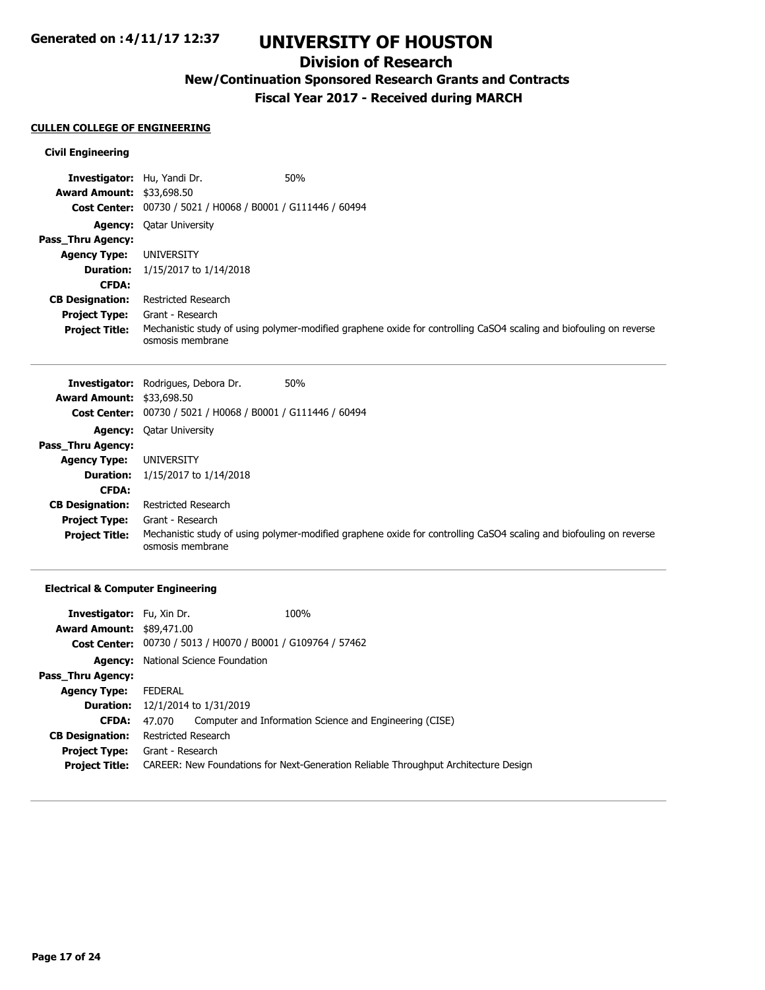# **UNIVERSITY OF HOUSTON**

## **Division of Research**

**New/Continuation Sponsored Research Grants and Contracts**

**Fiscal Year 2017 - Received during MARCH**

#### **CULLEN COLLEGE OF ENGINEERING**

### **Civil Engineering**

| <b>Investigator:</b> Hu, Yandi Dr. |                                                             | 50%                                                                                                                |
|------------------------------------|-------------------------------------------------------------|--------------------------------------------------------------------------------------------------------------------|
| <b>Award Amount: \$33,698.50</b>   |                                                             |                                                                                                                    |
|                                    | Cost Center: 00730 / 5021 / H0068 / B0001 / G111446 / 60494 |                                                                                                                    |
|                                    | <b>Agency:</b> Oatar University                             |                                                                                                                    |
| Pass_Thru Agency:                  |                                                             |                                                                                                                    |
| <b>Agency Type:</b>                | UNIVERSITY                                                  |                                                                                                                    |
| <b>Duration:</b>                   | 1/15/2017 to 1/14/2018                                      |                                                                                                                    |
| <b>CFDA:</b>                       |                                                             |                                                                                                                    |
| <b>CB Designation:</b>             | Restricted Research                                         |                                                                                                                    |
| <b>Project Type:</b>               | Grant - Research                                            |                                                                                                                    |
| <b>Project Title:</b>              | osmosis membrane                                            | Mechanistic study of using polymer-modified graphene oxide for controlling CaSO4 scaling and biofouling on reverse |

|                                  | <b>Investigator:</b> Rodrigues, Debora Dr.                  | 50%                                                                                                                |
|----------------------------------|-------------------------------------------------------------|--------------------------------------------------------------------------------------------------------------------|
| <b>Award Amount: \$33,698.50</b> |                                                             |                                                                                                                    |
|                                  | Cost Center: 00730 / 5021 / H0068 / B0001 / G111446 / 60494 |                                                                                                                    |
|                                  | <b>Agency:</b> Qatar University                             |                                                                                                                    |
| Pass Thru Agency:                |                                                             |                                                                                                                    |
| <b>Agency Type:</b>              | UNIVERSITY                                                  |                                                                                                                    |
| <b>Duration:</b>                 | 1/15/2017 to 1/14/2018                                      |                                                                                                                    |
| <b>CFDA:</b>                     |                                                             |                                                                                                                    |
| <b>CB Designation:</b>           | <b>Restricted Research</b>                                  |                                                                                                                    |
| <b>Project Type:</b>             | Grant - Research                                            |                                                                                                                    |
| <b>Project Title:</b>            | osmosis membrane                                            | Mechanistic study of using polymer-modified graphene oxide for controlling CaSO4 scaling and biofouling on reverse |

## **Electrical & Computer Engineering**

| <b>Investigator:</b> Fu, Xin Dr.      |                     |                                                                    | 100%                                                                                |
|---------------------------------------|---------------------|--------------------------------------------------------------------|-------------------------------------------------------------------------------------|
| <b>Award Amount: \$89,471.00</b>      |                     |                                                                    |                                                                                     |
|                                       |                     | <b>Cost Center:</b> 00730 / 5013 / H0070 / B0001 / G109764 / 57462 |                                                                                     |
|                                       |                     | <b>Agency:</b> National Science Foundation                         |                                                                                     |
| Pass Thru Agency:                     |                     |                                                                    |                                                                                     |
| <b>Agency Type:</b>                   | <b>FEDERAL</b>      |                                                                    |                                                                                     |
| <b>Duration:</b>                      |                     | 12/1/2014 to 1/31/2019                                             |                                                                                     |
| <b>CFDA:</b>                          | 47.070              |                                                                    | Computer and Information Science and Engineering (CISE)                             |
| <b>CB Designation:</b>                | Restricted Research |                                                                    |                                                                                     |
| <b>Project Type:</b> Grant - Research |                     |                                                                    |                                                                                     |
| <b>Project Title:</b>                 |                     |                                                                    | CAREER: New Foundations for Next-Generation Reliable Throughput Architecture Design |
|                                       |                     |                                                                    |                                                                                     |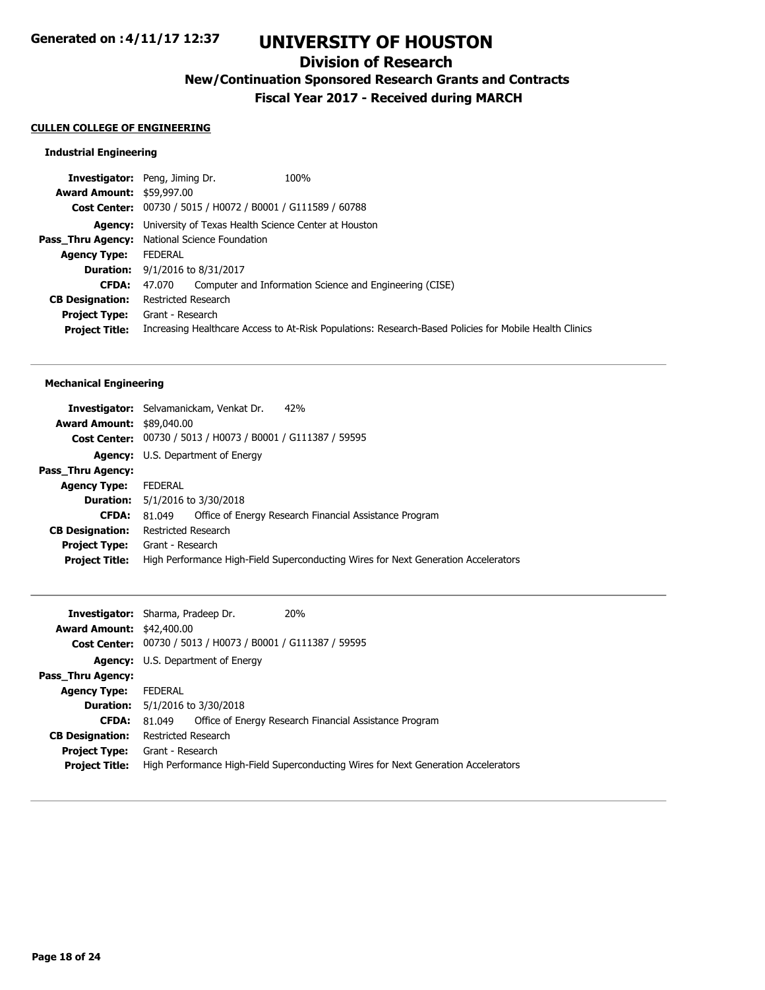## **Division of Research**

**New/Continuation Sponsored Research Grants and Contracts**

**Fiscal Year 2017 - Received during MARCH**

#### **CULLEN COLLEGE OF ENGINEERING**

## **Industrial Engineering**

|                                  | <b>Investigator:</b> Peng, Jiming Dr.<br>100%                       |                                                                                                        |
|----------------------------------|---------------------------------------------------------------------|--------------------------------------------------------------------------------------------------------|
| <b>Award Amount: \$59,997.00</b> |                                                                     |                                                                                                        |
|                                  | Cost Center: 00730 / 5015 / H0072 / B0001 / G111589 / 60788         |                                                                                                        |
|                                  | <b>Agency:</b> University of Texas Health Science Center at Houston |                                                                                                        |
|                                  | <b>Pass_Thru Agency:</b> National Science Foundation                |                                                                                                        |
| <b>Agency Type:</b>              | FEDERAL                                                             |                                                                                                        |
|                                  | <b>Duration:</b> $9/1/2016$ to $8/31/2017$                          |                                                                                                        |
| <b>CFDA:</b>                     | 47,070 Computer and Information Science and Engineering (CISE)      |                                                                                                        |
| <b>CB Designation:</b>           | Restricted Research                                                 |                                                                                                        |
|                                  | <b>Project Type:</b> Grant - Research                               |                                                                                                        |
| <b>Project Title:</b>            |                                                                     | Increasing Healthcare Access to At-Risk Populations: Research-Based Policies for Mobile Health Clinics |
|                                  |                                                                     |                                                                                                        |

#### **Mechanical Engineering**

|                                  | 42%<br><b>Investigator:</b> Selvamanickam, Venkat Dr.                              |
|----------------------------------|------------------------------------------------------------------------------------|
| <b>Award Amount: \$89,040.00</b> |                                                                                    |
|                                  | Cost Center: 00730 / 5013 / H0073 / B0001 / G111387 / 59595                        |
|                                  | <b>Agency:</b> U.S. Department of Energy                                           |
| Pass Thru Agency:                |                                                                                    |
| <b>Agency Type:</b>              | <b>FEDERAL</b>                                                                     |
|                                  | <b>Duration:</b> 5/1/2016 to 3/30/2018                                             |
| <b>CFDA:</b>                     | Office of Energy Research Financial Assistance Program<br>81.049                   |
| <b>CB Designation:</b>           | Restricted Research                                                                |
| <b>Project Type:</b>             | Grant - Research                                                                   |
| <b>Project Title:</b>            | High Performance High-Field Superconducting Wires for Next Generation Accelerators |

|                                  | <b>Investigator:</b> Sharma, Pradeep Dr.                    | 20%                                                                                |
|----------------------------------|-------------------------------------------------------------|------------------------------------------------------------------------------------|
| <b>Award Amount: \$42,400.00</b> |                                                             |                                                                                    |
|                                  | Cost Center: 00730 / 5013 / H0073 / B0001 / G111387 / 59595 |                                                                                    |
|                                  | <b>Agency:</b> U.S. Department of Energy                    |                                                                                    |
| Pass_Thru Agency:                |                                                             |                                                                                    |
| <b>Agency Type:</b>              | FEDERAL                                                     |                                                                                    |
|                                  | <b>Duration:</b> 5/1/2016 to 3/30/2018                      |                                                                                    |
| <b>CFDA:</b>                     | 81.049                                                      | Office of Energy Research Financial Assistance Program                             |
| <b>CB Designation:</b>           | Restricted Research                                         |                                                                                    |
| <b>Project Type:</b>             | Grant - Research                                            |                                                                                    |
| <b>Project Title:</b>            |                                                             | High Performance High-Field Superconducting Wires for Next Generation Accelerators |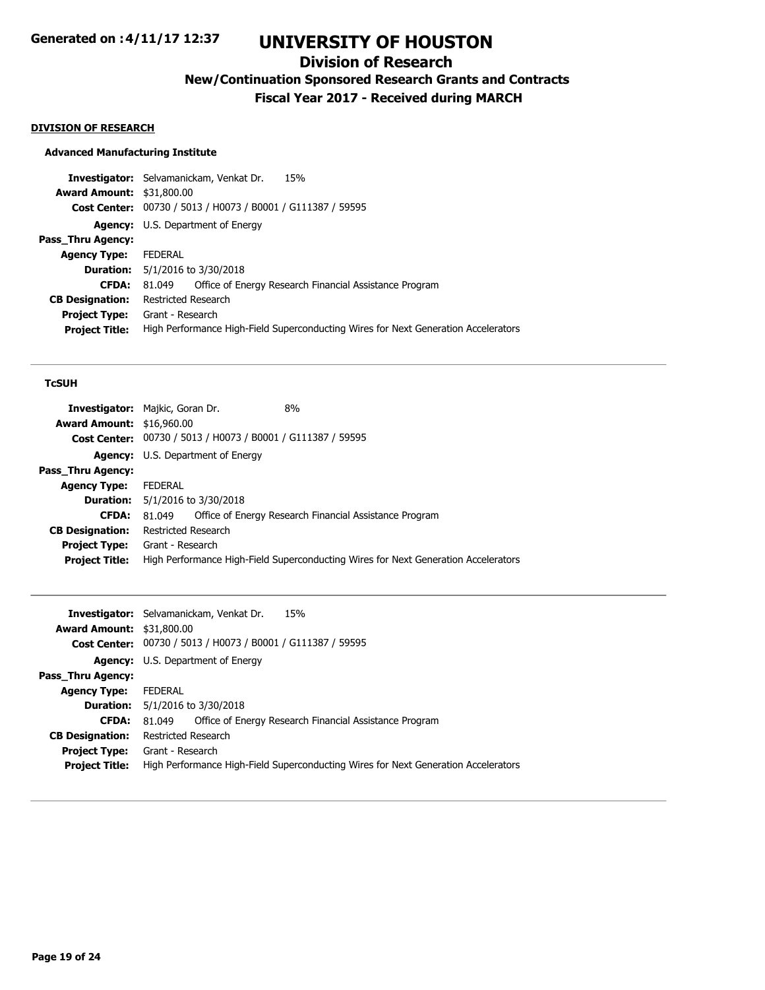## **Division of Research**

**New/Continuation Sponsored Research Grants and Contracts**

**Fiscal Year 2017 - Received during MARCH**

#### **DIVISION OF RESEARCH**

### **Advanced Manufacturing Institute**

**Investigator:** Selvamanickam, Venkat Dr. 15% **Award Amount:** \$31,800.00 **Cost Center:** 00730 / 5013 / H0073 / B0001 / G111387 / 59595 **Agency:** U.S. Department of Energy **Pass\_Thru Agency: Agency Type:** FEDERAL **Duration:** 5/1/2016 to 3/30/2018 **CFDA:** 81.049 Office of Energy Research Financial Assistance Program **CB Designation:** Restricted Research **Project Type:** Grant - Research **Project Title:** High Performance High-Field Superconducting Wires for Next Generation Accelerators

### **TcSUH**

|                                  | <b>Investigator:</b> Majkic, Goran Dr.                      | 8%                                                                                 |
|----------------------------------|-------------------------------------------------------------|------------------------------------------------------------------------------------|
| <b>Award Amount: \$16,960.00</b> |                                                             |                                                                                    |
|                                  | Cost Center: 00730 / 5013 / H0073 / B0001 / G111387 / 59595 |                                                                                    |
|                                  | <b>Agency:</b> U.S. Department of Energy                    |                                                                                    |
| Pass_Thru Agency:                |                                                             |                                                                                    |
| <b>Agency Type:</b>              | FEDERAL                                                     |                                                                                    |
|                                  | <b>Duration:</b> 5/1/2016 to 3/30/2018                      |                                                                                    |
| <b>CFDA:</b>                     | 81.049                                                      | Office of Energy Research Financial Assistance Program                             |
| <b>CB Designation:</b>           | <b>Restricted Research</b>                                  |                                                                                    |
|                                  | <b>Project Type:</b> Grant - Research                       |                                                                                    |
| <b>Project Title:</b>            |                                                             | High Performance High-Field Superconducting Wires for Next Generation Accelerators |
|                                  |                                                             |                                                                                    |

|                                  | 15%<br><b>Investigator:</b> Selvamanickam, Venkat Dr.                              |
|----------------------------------|------------------------------------------------------------------------------------|
| <b>Award Amount: \$31,800.00</b> |                                                                                    |
|                                  | <b>Cost Center:</b> 00730 / 5013 / H0073 / B0001 / G111387 / 59595                 |
|                                  | <b>Agency:</b> U.S. Department of Energy                                           |
| <b>Pass Thru Agency:</b>         |                                                                                    |
| <b>Agency Type:</b>              | FEDERAL                                                                            |
|                                  | <b>Duration:</b> 5/1/2016 to 3/30/2018                                             |
| <b>CFDA:</b>                     | Office of Energy Research Financial Assistance Program<br>81.049                   |
| <b>CB Designation:</b>           | Restricted Research                                                                |
| <b>Project Type:</b>             | Grant - Research                                                                   |
| <b>Project Title:</b>            | High Performance High-Field Superconducting Wires for Next Generation Accelerators |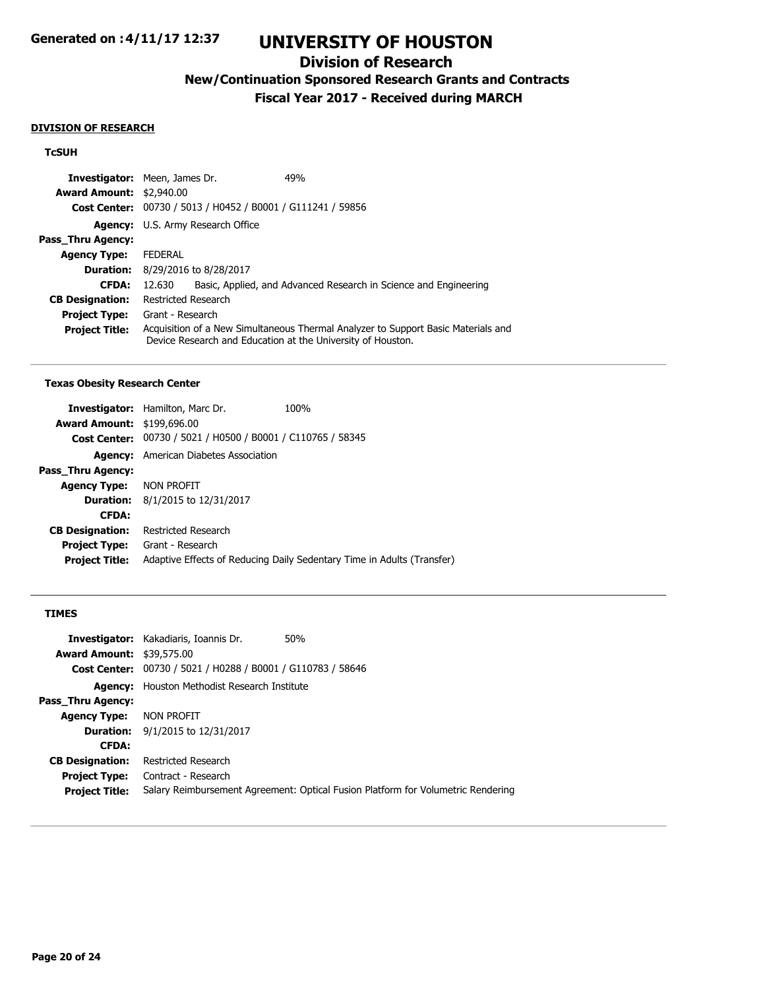## **Division of Research**

**New/Continuation Sponsored Research Grants and Contracts**

**Fiscal Year 2017 - Received during MARCH**

#### **DIVISION OF RESEARCH**

### **TcSUH**

| <b>Investigator:</b> Meen, James Dr. |                     |                                                             | 49%                                                                                                                                              |
|--------------------------------------|---------------------|-------------------------------------------------------------|--------------------------------------------------------------------------------------------------------------------------------------------------|
| <b>Award Amount: \$2,940.00</b>      |                     |                                                             |                                                                                                                                                  |
|                                      |                     | Cost Center: 00730 / 5013 / H0452 / B0001 / G111241 / 59856 |                                                                                                                                                  |
|                                      |                     | <b>Agency:</b> U.S. Army Research Office                    |                                                                                                                                                  |
| Pass Thru Agency:                    |                     |                                                             |                                                                                                                                                  |
| <b>Agency Type:</b>                  | <b>FEDERAL</b>      |                                                             |                                                                                                                                                  |
|                                      |                     | <b>Duration:</b> 8/29/2016 to 8/28/2017                     |                                                                                                                                                  |
| <b>CFDA:</b>                         | 12.630              |                                                             | Basic, Applied, and Advanced Research in Science and Engineering                                                                                 |
| <b>CB Designation:</b>               | Restricted Research |                                                             |                                                                                                                                                  |
| <b>Project Type:</b>                 | Grant - Research    |                                                             |                                                                                                                                                  |
| <b>Project Title:</b>                |                     |                                                             | Acquisition of a New Simultaneous Thermal Analyzer to Support Basic Materials and<br>Device Research and Education at the University of Houston. |

#### **Texas Obesity Research Center**

|                                   | <b>Investigator:</b> Hamilton, Marc Dr.                     | 100%                                                                   |
|-----------------------------------|-------------------------------------------------------------|------------------------------------------------------------------------|
| <b>Award Amount: \$199,696.00</b> |                                                             |                                                                        |
|                                   | Cost Center: 00730 / 5021 / H0500 / B0001 / C110765 / 58345 |                                                                        |
|                                   | <b>Agency:</b> American Diabetes Association                |                                                                        |
| Pass Thru Agency:                 |                                                             |                                                                        |
| <b>Agency Type:</b>               | Non profit                                                  |                                                                        |
| <b>Duration:</b>                  | 8/1/2015 to 12/31/2017                                      |                                                                        |
| <b>CFDA:</b>                      |                                                             |                                                                        |
| <b>CB Designation:</b>            | Restricted Research                                         |                                                                        |
| <b>Project Type:</b>              | Grant - Research                                            |                                                                        |
| <b>Project Title:</b>             |                                                             | Adaptive Effects of Reducing Daily Sedentary Time in Adults (Transfer) |
|                                   |                                                             |                                                                        |

## **TIMES**

| <b>Investigator:</b> Kakadiaris, Ioannis Dr.                          | 50%                                                                              |
|-----------------------------------------------------------------------|----------------------------------------------------------------------------------|
| <b>Award Amount: \$39,575.00</b>                                      |                                                                                  |
| 00730 / 5021 / H0288 / B0001 / G110783 / 58646<br><b>Cost Center:</b> |                                                                                  |
| Houston Methodist Research Institute<br>Agency:                       |                                                                                  |
|                                                                       |                                                                                  |
| Non profit                                                            |                                                                                  |
| <b>Duration:</b> 9/1/2015 to 12/31/2017                               |                                                                                  |
|                                                                       |                                                                                  |
| Restricted Research                                                   |                                                                                  |
| Contract - Research                                                   |                                                                                  |
|                                                                       | Salary Reimbursement Agreement: Optical Fusion Platform for Volumetric Rendering |
|                                                                       |                                                                                  |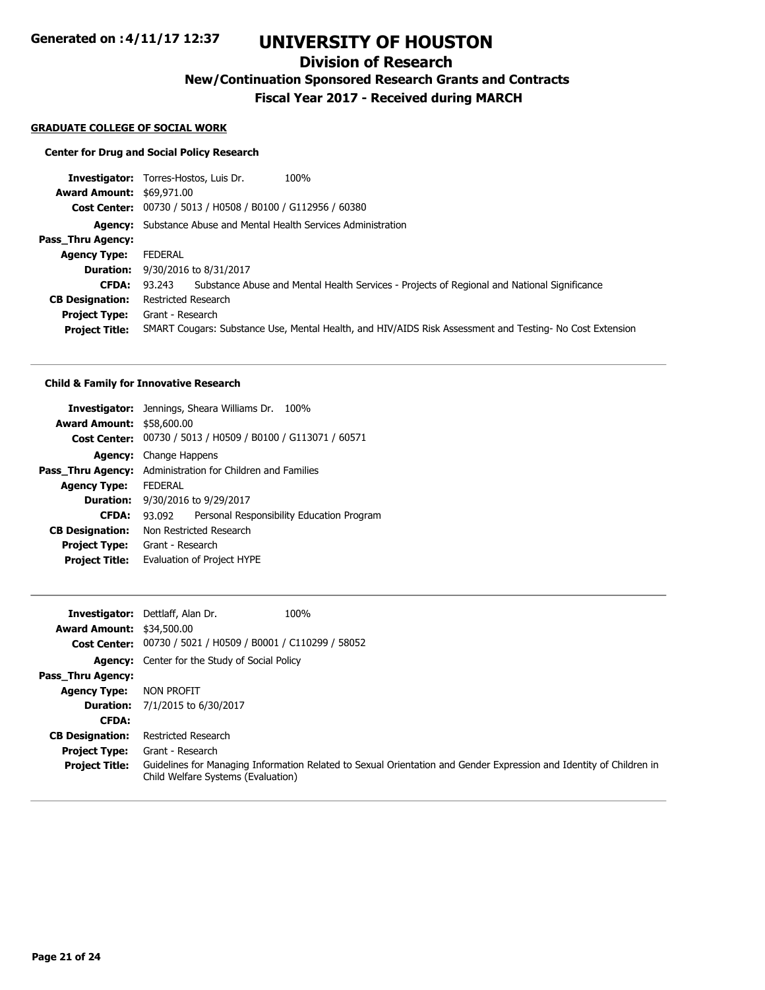# **UNIVERSITY OF HOUSTON**

## **Division of Research**

**New/Continuation Sponsored Research Grants and Contracts**

**Fiscal Year 2017 - Received during MARCH**

#### **GRADUATE COLLEGE OF SOCIAL WORK**

## **Center for Drug and Social Policy Research**

|                                  | 100%<br><b>Investigator:</b> Torres-Hostos, Luis Dr.                                                     |
|----------------------------------|----------------------------------------------------------------------------------------------------------|
| <b>Award Amount: \$69,971.00</b> |                                                                                                          |
|                                  | Cost Center: 00730 / 5013 / H0508 / B0100 / G112956 / 60380                                              |
|                                  | <b>Agency:</b> Substance Abuse and Mental Health Services Administration                                 |
| Pass Thru Agency:                |                                                                                                          |
| <b>Agency Type:</b>              | FEDERAL                                                                                                  |
| <b>Duration:</b>                 | 9/30/2016 to 8/31/2017                                                                                   |
| <b>CFDA:</b>                     | Substance Abuse and Mental Health Services - Projects of Regional and National Significance<br>93.243    |
| <b>CB Designation:</b>           | Restricted Research                                                                                      |
| <b>Project Type:</b>             | Grant - Research                                                                                         |
| <b>Project Title:</b>            | SMART Cougars: Substance Use, Mental Health, and HIV/AIDS Risk Assessment and Testing- No Cost Extension |
|                                  |                                                                                                          |

#### **Child & Family for Innovative Research**

|                                  | <b>Investigator:</b> Jennings, Sheara Williams Dr. 100% |  |
|----------------------------------|---------------------------------------------------------|--|
| <b>Award Amount: \$58,600.00</b> |                                                         |  |
| <b>Cost Center:</b>              | 00730 / 5013 / H0509 / B0100 / G113071 / 60571          |  |
| <b>Agency:</b>                   | Change Happens                                          |  |
| Pass Thru Agency:                | Administration for Children and Families                |  |
| <b>Agency Type:</b>              | <b>FFDFRAI</b>                                          |  |
|                                  | <b>Duration:</b> 9/30/2016 to 9/29/2017                 |  |
| <b>CFDA:</b>                     | Personal Responsibility Education Program<br>93.092     |  |
| <b>CB Designation:</b>           | Non Restricted Research                                 |  |
| <b>Project Type:</b>             | Grant - Research                                        |  |
| <b>Project Title:</b>            | Evaluation of Project HYPE                              |  |
|                                  |                                                         |  |

|                                  | 100%<br><b>Investigator:</b> Dettlaff, Alan Dr.                                                                                                           |  |
|----------------------------------|-----------------------------------------------------------------------------------------------------------------------------------------------------------|--|
| <b>Award Amount: \$34,500.00</b> |                                                                                                                                                           |  |
|                                  | <b>Cost Center:</b> 00730 / 5021 / H0509 / B0001 / C110299 / 58052                                                                                        |  |
|                                  | <b>Agency:</b> Center for the Study of Social Policy                                                                                                      |  |
| Pass Thru Agency:                |                                                                                                                                                           |  |
| <b>Agency Type:</b>              | NON PROFIT                                                                                                                                                |  |
|                                  | <b>Duration:</b> 7/1/2015 to 6/30/2017                                                                                                                    |  |
| <b>CFDA:</b>                     |                                                                                                                                                           |  |
| <b>CB Designation:</b>           | Restricted Research                                                                                                                                       |  |
| <b>Project Type:</b>             | Grant - Research                                                                                                                                          |  |
| <b>Project Title:</b>            | Guidelines for Managing Information Related to Sexual Orientation and Gender Expression and Identity of Children in<br>Child Welfare Systems (Evaluation) |  |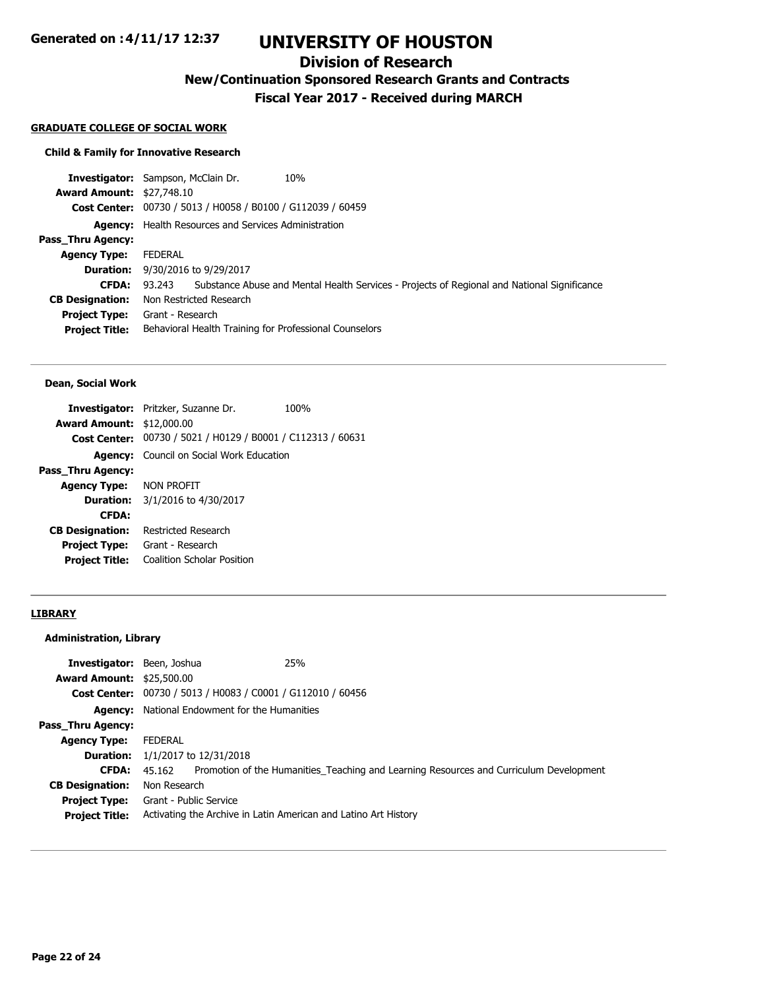# **UNIVERSITY OF HOUSTON**

## **Division of Research**

**New/Continuation Sponsored Research Grants and Contracts**

**Fiscal Year 2017 - Received during MARCH**

#### **GRADUATE COLLEGE OF SOCIAL WORK**

### **Child & Family for Innovative Research**

|                                  | <b>Investigator:</b> Sampson, McClain Dr.<br>10%                                                   |
|----------------------------------|----------------------------------------------------------------------------------------------------|
| <b>Award Amount: \$27,748.10</b> |                                                                                                    |
|                                  | Cost Center: 00730 / 5013 / H0058 / B0100 / G112039 / 60459                                        |
|                                  | <b>Agency:</b> Health Resources and Services Administration                                        |
| Pass Thru Agency:                |                                                                                                    |
| <b>Agency Type:</b>              | FEDERAL                                                                                            |
| <b>Duration:</b>                 | 9/30/2016 to 9/29/2017                                                                             |
| <b>CFDA:</b>                     | 93.243 Substance Abuse and Mental Health Services - Projects of Regional and National Significance |
| <b>CB Designation:</b>           | Non Restricted Research                                                                            |
| <b>Project Type:</b>             | Grant - Research                                                                                   |
| <b>Project Title:</b>            | Behavioral Health Training for Professional Counselors                                             |
|                                  |                                                                                                    |

#### **Dean, Social Work**

|                                  | <b>Investigator:</b> Pritzker, Suzanne Dr.                  | 100% |
|----------------------------------|-------------------------------------------------------------|------|
| <b>Award Amount: \$12,000.00</b> |                                                             |      |
|                                  | Cost Center: 00730 / 5021 / H0129 / B0001 / C112313 / 60631 |      |
|                                  | <b>Agency:</b> Council on Social Work Education             |      |
| Pass Thru Agency:                |                                                             |      |
| <b>Agency Type: NON PROFIT</b>   |                                                             |      |
|                                  | <b>Duration:</b> $3/1/2016$ to $4/30/2017$                  |      |
| <b>CFDA:</b>                     |                                                             |      |
| <b>CB Designation:</b>           | Restricted Research                                         |      |
| <b>Project Type:</b>             | Grant - Research                                            |      |
| <b>Project Title:</b>            | Coalition Scholar Position                                  |      |
|                                  |                                                             |      |

## **LIBRARY**

## **Administration, Library**

| <b>Investigator:</b> Been, Joshua<br><b>Award Amount: \$25,500.00</b> | 25%                                                                                           |
|-----------------------------------------------------------------------|-----------------------------------------------------------------------------------------------|
|                                                                       | Cost Center: 00730 / 5013 / H0083 / C0001 / G112010 / 60456                                   |
|                                                                       | <b>Agency:</b> National Endowment for the Humanities                                          |
| Pass Thru Agency:                                                     |                                                                                               |
| <b>Agency Type:</b>                                                   | FEDERAL                                                                                       |
|                                                                       | <b>Duration:</b> $1/1/2017$ to $12/31/2018$                                                   |
| <b>CFDA:</b>                                                          | 45.162 Promotion of the Humanities Teaching and Learning Resources and Curriculum Development |
| <b>CB Designation:</b>                                                | Non Research                                                                                  |
|                                                                       | <b>Project Type:</b> Grant - Public Service                                                   |
| <b>Project Title:</b>                                                 | Activating the Archive in Latin American and Latino Art History                               |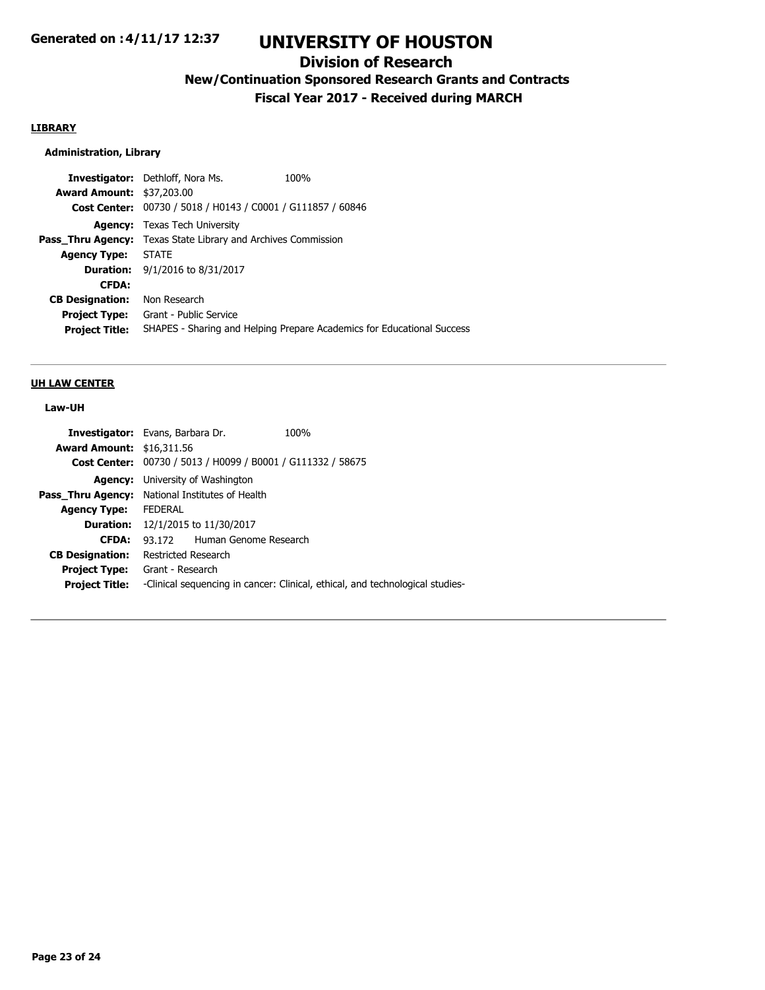## **Division of Research**

# **New/Continuation Sponsored Research Grants and Contracts**

**Fiscal Year 2017 - Received during MARCH**

## **LIBRARY**

### **Administration, Library**

|                                  | <b>Investigator:</b> Dethloff, Nora Ms.                              | 100%                                                                   |
|----------------------------------|----------------------------------------------------------------------|------------------------------------------------------------------------|
| <b>Award Amount: \$37,203.00</b> |                                                                      |                                                                        |
|                                  | Cost Center: 00730 / 5018 / H0143 / C0001 / G111857 / 60846          |                                                                        |
|                                  | <b>Agency:</b> Texas Tech University                                 |                                                                        |
|                                  | <b>Pass_Thru Agency:</b> Texas State Library and Archives Commission |                                                                        |
| <b>Agency Type: STATE</b>        |                                                                      |                                                                        |
|                                  | <b>Duration:</b> $9/1/2016$ to $8/31/2017$                           |                                                                        |
| <b>CFDA:</b>                     |                                                                      |                                                                        |
| <b>CB Designation:</b>           | Non Research                                                         |                                                                        |
| <b>Project Type:</b>             | Grant - Public Service                                               |                                                                        |
| <b>Project Title:</b>            |                                                                      | SHAPES - Sharing and Helping Prepare Academics for Educational Success |
|                                  |                                                                      |                                                                        |

#### **UH LAW CENTER**

### **Law-UH**

| <b>Investigator:</b> Evans, Barbara Dr. |                                                                               |                              | 100% |
|-----------------------------------------|-------------------------------------------------------------------------------|------------------------------|------|
| <b>Award Amount: \$16,311.56</b>        |                                                                               |                              |      |
|                                         | Cost Center: 00730 / 5013 / H0099 / B0001 / G111332 / 58675                   |                              |      |
| Agency:                                 | University of Washington                                                      |                              |      |
|                                         | <b>Pass_Thru Agency:</b> National Institutes of Health                        |                              |      |
| <b>Agency Type:</b>                     | <b>FEDERAL</b>                                                                |                              |      |
| <b>Duration:</b>                        | 12/1/2015 to 11/30/2017                                                       |                              |      |
| <b>CFDA:</b>                            |                                                                               | 93.172 Human Genome Research |      |
| <b>CB Designation:</b>                  | Restricted Research                                                           |                              |      |
| <b>Project Type:</b>                    | Grant - Research                                                              |                              |      |
| <b>Project Title:</b>                   | -Clinical sequencing in cancer: Clinical, ethical, and technological studies- |                              |      |